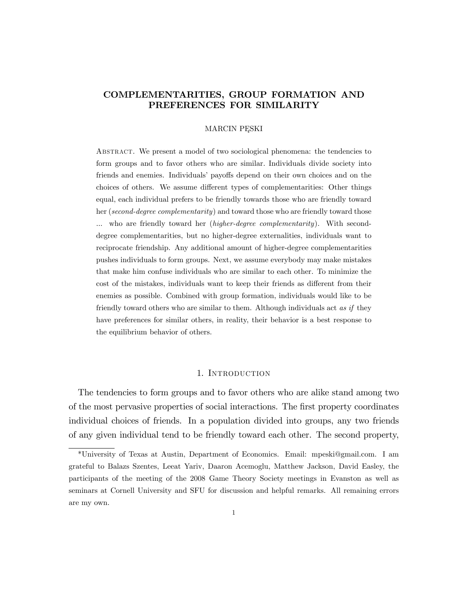# COMPLEMENTARITIES, GROUP FORMATION AND PREFERENCES FOR SIMILARITY

### MARCIN PESKI

Abstract. We present a model of two sociological phenomena: the tendencies to form groups and to favor others who are similar. Individuals divide society into friends and enemies. Individuals' payoffs depend on their own choices and on the choices of others. We assume different types of complementarities: Other things equal, each individual prefers to be friendly towards those who are friendly toward her (second-degree complementarity) and toward those who are friendly toward those ... who are friendly toward her *(higher-degree complementarity)*. With seconddegree complementarities, but no higher-degree externalities, individuals want to reciprocate friendship. Any additional amount of higher-degree complementarities pushes individuals to form groups. Next, we assume everybody may make mistakes that make him confuse individuals who are similar to each other. To minimize the cost of the mistakes, individuals want to keep their friends as different from their enemies as possible. Combined with group formation, individuals would like to be friendly toward others who are similar to them. Although individuals act as if they have preferences for similar others, in reality, their behavior is a best response to the equilibrium behavior of others.

# 1. INTRODUCTION

The tendencies to form groups and to favor others who are alike stand among two of the most pervasive properties of social interactions. The first property coordinates individual choices of friends. In a population divided into groups, any two friends of any given individual tend to be friendly toward each other. The second property,

<sup>\*</sup>University of Texas at Austin, Department of Economics. Email: mpeski@gmail.com. I am grateful to Balazs Szentes, Leeat Yariv, Daaron Acemoglu, Matthew Jackson, David Easley, the participants of the meeting of the 2008 Game Theory Society meetings in Evanston as well as seminars at Cornell University and SFU for discussion and helpful remarks. All remaining errors are my own.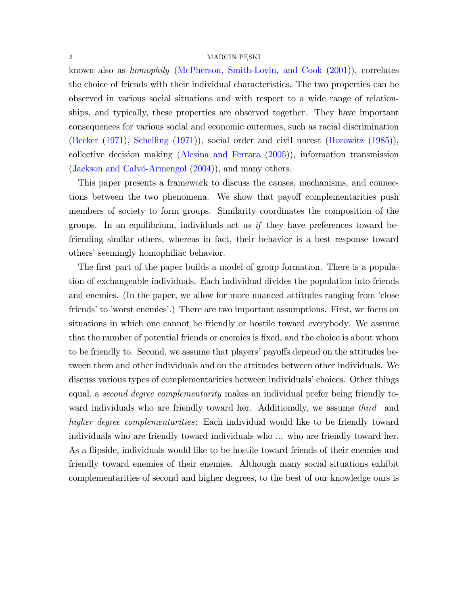#### $2 \,$  MARCIN PESKI

known also as homophily [\(McPherson, Smith-Lovin, and Cook](#page-24-0) [\(2001\)](#page-24-0)), correlates the choice of friends with their individual characteristics. The two properties can be observed in various social situations and with respect to a wide range of relationships, and typically, these properties are observed together. They have important consequences for various social and economic outcomes, such as racial discrimination [\(Becker](#page-23-0) [\(1971\)](#page-23-0), [Schelling](#page-24-1) [\(1971\)](#page-24-1)), social order and civil unrest [\(Horowitz](#page-24-2) [\(1985\)](#page-24-2)), collective decision making [\(Alesina and Ferrara](#page-22-0) [\(2005\)](#page-22-0)), information transmission (Jackson and Calvó-Armengol  $(2004)$ ), and many others.

This paper presents a framework to discuss the causes, mechanisms, and connections between the two phenomena. We show that payoff complementarities push members of society to form groups. Similarity coordinates the composition of the groups. In an equilibrium, individuals act as if they have preferences toward befriending similar others, whereas in fact, their behavior is a best response toward others' seemingly homophiliac behavior.

The first part of the paper builds a model of group formation. There is a population of exchangeable individuals. Each individual divides the population into friends and enemies. (In the paper, we allow for more nuanced attitudes ranging from 'close friends' to 'worst enemies'.) There are two important assumptions. First, we focus on situations in which one cannot be friendly or hostile toward everybody. We assume that the number of potential friends or enemies is Öxed, and the choice is about whom to be friendly to. Second, we assume that players' payoffs depend on the attitudes between them and other individuals and on the attitudes between other individuals. We discuss various types of complementarities between individuals' choices. Other things equal, a second degree complementarity makes an individual prefer being friendly toward individuals who are friendly toward her. Additionally, we assume third and higher degree complementarities: Each individual would like to be friendly toward individuals who are friendly toward individuals who ... who are friendly toward her. As a flipside, individuals would like to be hostile toward friends of their enemies and friendly toward enemies of their enemies. Although many social situations exhibit complementarities of second and higher degrees, to the best of our knowledge ours is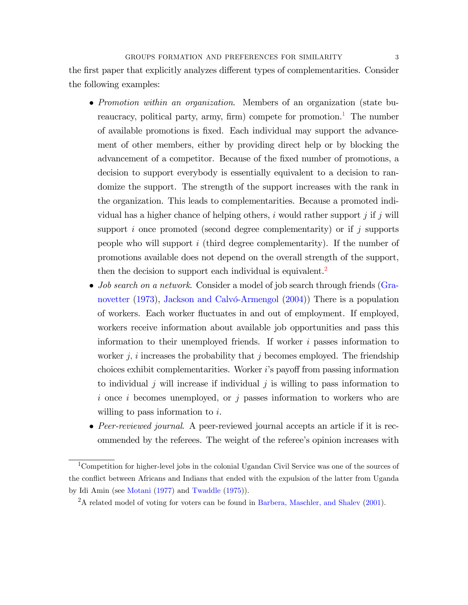the first paper that explicitly analyzes different types of complementarities. Consider the following examples:

- Promotion within an organization. Members of an organization (state bu-reaucracy, political party, army, firm) compete for promotion.<sup>[1](#page-2-0)</sup> The number of available promotions is Öxed. Each individual may support the advancement of other members, either by providing direct help or by blocking the advancement of a competitor. Because of the fixed number of promotions, a decision to support everybody is essentially equivalent to a decision to randomize the support. The strength of the support increases with the rank in the organization. This leads to complementarities. Because a promoted individual has a higher chance of helping others, i would rather support j if j will support  $i$  once promoted (second degree complementarity) or if  $j$  supports people who will support  $i$  (third degree complementarity). If the number of promotions available does not depend on the overall strength of the support, then the decision to support each individual is equivalent.<sup>[2](#page-2-1)</sup>
- *Job search on a network*. Consider a model of job search through friends [\(Gra](#page-23-1)[novetter](#page-23-1) [\(1973\)](#page-23-1), Jackson and Calvó-Armengol  $(2004)$ ) There is a population of workers. Each worker áuctuates in and out of employment. If employed, workers receive information about available job opportunities and pass this information to their unemployed friends. If worker  $i$  passes information to worker  $j$ , i increases the probability that j becomes employed. The friendship choices exhibit complementarities. Worker  $i$ 's payoff from passing information to individual j will increase if individual j is willing to pass information to i once i becomes unemployed, or j passes information to workers who are willing to pass information to i.
- Peer-reviewed journal. A peer-reviewed journal accepts an article if it is recommended by the referees. The weight of the refereeís opinion increases with

<span id="page-2-0"></span><sup>&</sup>lt;sup>1</sup>Competition for higher-level jobs in the colonial Ugandan Civil Service was one of the sources of the conflict between Africans and Indians that ended with the expulsion of the latter from Uganda by Idi Amin (see [Motani](#page-24-4) [\(1977\)](#page-24-4) and [Twaddle](#page-25-0) [\(1975\)](#page-25-0)).

<span id="page-2-1"></span><sup>&</sup>lt;sup>2</sup>A related model of voting for voters can be found in [Barbera, Maschler, and Shalev](#page-22-1) [\(2001\)](#page-22-1).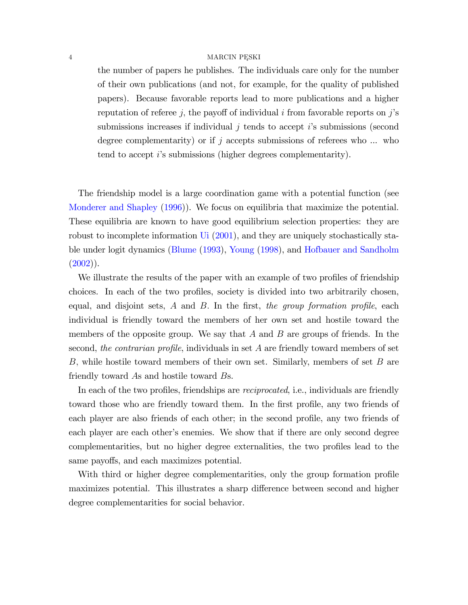the number of papers he publishes. The individuals care only for the number of their own publications (and not, for example, for the quality of published papers). Because favorable reports lead to more publications and a higher reputation of referee j, the payoff of individual i from favorable reports on j's submissions increases if individual  $j$  tends to accept  $i$ 's submissions (second degree complementarity) or if j accepts submissions of referees who  $\dots$  who tend to accept i's submissions (higher degrees complementarity).

The friendship model is a large coordination game with a potential function (see [Monderer and Shapley](#page-24-5) [\(1996\)](#page-24-5)). We focus on equilibria that maximize the potential. These equilibria are known to have good equilibrium selection properties: they are robust to incomplete information [Ui](#page-25-1) [\(2001\)](#page-25-1), and they are uniquely stochastically stable under logit dynamics [\(Blume](#page-23-2) [\(1993\)](#page-23-2), [Young](#page-25-2) [\(1998\)](#page-25-2), and [Hofbauer and Sandholm](#page-23-3)  $(2002)$ ).

We illustrate the results of the paper with an example of two profiles of friendship choices. In each of the two profiles, society is divided into two arbitrarily chosen, equal, and disjoint sets,  $A$  and  $B$ . In the first, the group formation profile, each individual is friendly toward the members of her own set and hostile toward the members of the opposite group. We say that  $A$  and  $B$  are groups of friends. In the second, the contrarian profile, individuals in set  $A$  are friendly toward members of set B, while hostile toward members of their own set. Similarly, members of set  $B$  are friendly toward As and hostile toward Bs.

In each of the two profiles, friendships are *reciprocated*, i.e., individuals are friendly toward those who are friendly toward them. In the first profile, any two friends of each player are also friends of each other; in the second profile, any two friends of each player are each other's enemies. We show that if there are only second degree complementarities, but no higher degree externalities, the two profiles lead to the same payoffs, and each maximizes potential.

With third or higher degree complementarities, only the group formation profile maximizes potential. This illustrates a sharp difference between second and higher degree complementarities for social behavior.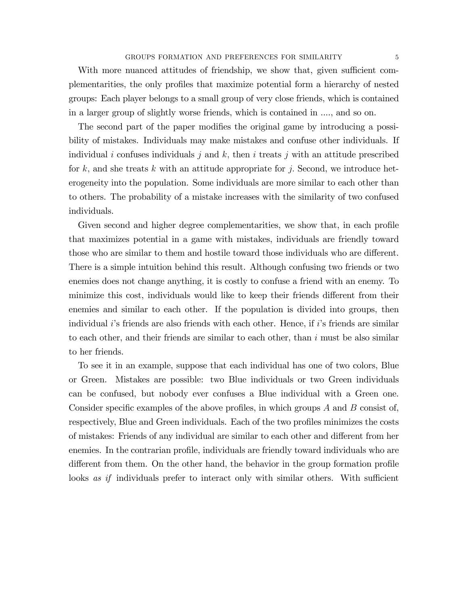With more nuanced attitudes of friendship, we show that, given sufficient complementarities, the only profiles that maximize potential form a hierarchy of nested groups: Each player belongs to a small group of very close friends, which is contained in a larger group of slightly worse friends, which is contained in ...., and so on.

The second part of the paper modifies the original game by introducing a possibility of mistakes. Individuals may make mistakes and confuse other individuals. If individual i confuses individuals j and  $k$ , then i treats j with an attitude prescribed for k, and she treats k with an attitude appropriate for j. Second, we introduce heterogeneity into the population. Some individuals are more similar to each other than to others. The probability of a mistake increases with the similarity of two confused individuals.

Given second and higher degree complementarities, we show that, in each profile that maximizes potential in a game with mistakes, individuals are friendly toward those who are similar to them and hostile toward those individuals who are different. There is a simple intuition behind this result. Although confusing two friends or two enemies does not change anything, it is costly to confuse a friend with an enemy. To minimize this cost, individuals would like to keep their friends different from their enemies and similar to each other. If the population is divided into groups, then individual  $i$ 's friends are also friends with each other. Hence, if  $i$ 's friends are similar to each other, and their friends are similar to each other, than  $i$  must be also similar to her friends.

To see it in an example, suppose that each individual has one of two colors, Blue or Green. Mistakes are possible: two Blue individuals or two Green individuals can be confused, but nobody ever confuses a Blue individual with a Green one. Consider specific examples of the above profiles, in which groups  $A$  and  $B$  consist of, respectively, Blue and Green individuals. Each of the two profiles minimizes the costs of mistakes: Friends of any individual are similar to each other and different from her enemies. In the contrarian profile, individuals are friendly toward individuals who are different from them. On the other hand, the behavior in the group formation profile looks as if individuals prefer to interact only with similar others. With sufficient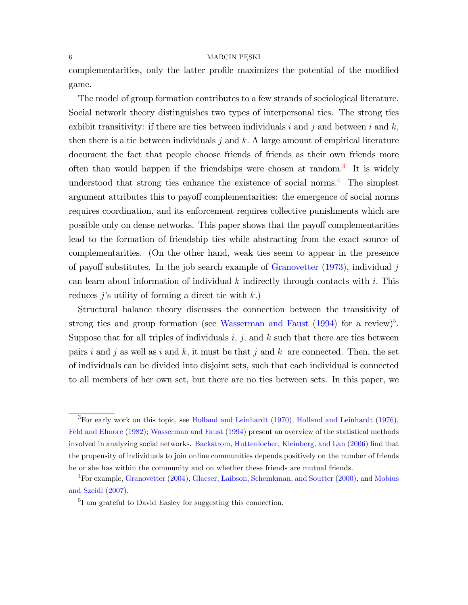### $6 \longrightarrow$  MARCIN PESKI

complementarities, only the latter profile maximizes the potential of the modified game.

The model of group formation contributes to a few strands of sociological literature. Social network theory distinguishes two types of interpersonal ties. The strong ties exhibit transitivity: if there are ties between individuals i and j and between i and k; then there is a tie between individuals j and k. A large amount of empirical literature document the fact that people choose friends of friends as their own friends more often than would happen if the friendships were chosen at random.<sup>[3](#page-5-0)</sup> It is widely understood that strong ties enhance the existence of social norms.<sup>[4](#page-5-1)</sup> The simplest argument attributes this to payoff complementarities: the emergence of social norms requires coordination, and its enforcement requires collective punishments which are possible only on dense networks. This paper shows that the payoff complementarities lead to the formation of friendship ties while abstracting from the exact source of complementarities. (On the other hand, weak ties seem to appear in the presence of payoff substitutes. In the job search example of [Granovetter](#page-23-1)  $(1973)$ , individual j can learn about information of individual  $k$  indirectly through contacts with  $i$ . This reduces j's utility of forming a direct tie with  $k$ .)

Structural balance theory discusses the connection between the transitivity of strong ties and group formation (see [Wasserman and Faust](#page-25-3)  $(1994)$  for a review)<sup>[5](#page-5-2)</sup>. Suppose that for all triples of individuals i, j, and k such that there are ties between pairs i and j as well as i and k, it must be that j and k are connected. Then, the set of individuals can be divided into disjoint sets, such that each individual is connected to all members of her own set, but there are no ties between sets. In this paper, we

<span id="page-5-0"></span> ${}^{3}$ For early work on this topic, see [Holland and Leinhardt](#page-23-5) [\(1970\)](#page-23-4), Holland and Leinhardt [\(1976\)](#page-23-5), [Feld and Elmore](#page-23-6) [\(1982\)](#page-23-6); [Wasserman and Faust](#page-25-3) [\(1994\)](#page-25-3) present an overview of the statistical methods involved in analyzing social networks. [Backstrom, Huttenlocher, Kleinberg, and Lan](#page-22-2) [\(2006\)](#page-22-2) find that the propensity of individuals to join online communities depends positively on the number of friends he or she has within the community and on whether these friends are mutual friends.

<span id="page-5-1"></span><sup>&</sup>lt;sup>4</sup>For example, [Granovetter](#page-23-7) [\(2004\)](#page-23-7), [Glaeser, Laibson, Scheinkman, and Soutter](#page-23-8) [\(2000\)](#page-23-8), and [Mobius](#page-24-6) [and Szeidl](#page-24-6) [\(2007\)](#page-24-6).

<span id="page-5-2"></span><sup>5</sup> I am grateful to David Easley for suggesting this connection.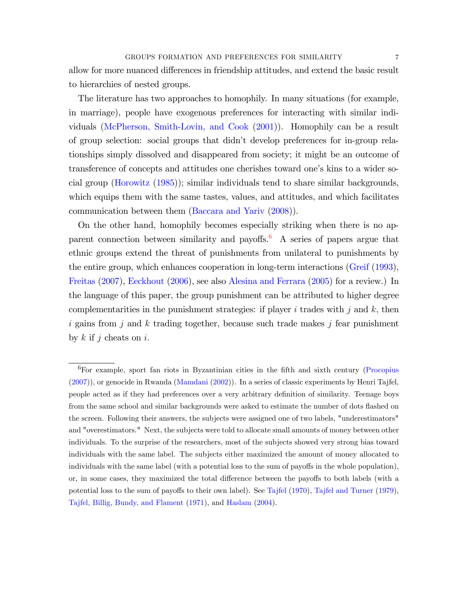allow for more nuanced differences in friendship attitudes, and extend the basic result to hierarchies of nested groups.

The literature has two approaches to homophily. In many situations (for example, in marriage), people have exogenous preferences for interacting with similar individuals [\(McPherson, Smith-Lovin, and Cook](#page-24-0) [\(2001\)](#page-24-0)). Homophily can be a result of group selection: social groups that didnít develop preferences for in-group relationships simply dissolved and disappeared from society; it might be an outcome of transference of concepts and attitudes one cherishes toward one's kins to a wider social group [\(Horowitz](#page-24-2) [\(1985\)](#page-24-2)); similar individuals tend to share similar backgrounds, which equips them with the same tastes, values, and attitudes, and which facilitates communication between them [\(Baccara and Yariv](#page-22-3) [\(2008\)](#page-22-3)).

On the other hand, homophily becomes especially striking when there is no apparent connection between similarity and payoffs. A series of papers argue that ethnic groups extend the threat of punishments from unilateral to punishments by the entire group, which enhances cooperation in long-term interactions [\(Greif](#page-23-9) [\(1993\)](#page-23-9), [Freitas](#page-23-10) [\(2007\)](#page-23-10), [Eeckhout](#page-23-11) [\(2006\)](#page-23-11), see also [Alesina and Ferrara](#page-22-0) [\(2005\)](#page-22-0) for a review.) In the language of this paper, the group punishment can be attributed to higher degree complementarities in the punishment strategies: if player i trades with j and  $k$ , then i gains from j and k trading together, because such trade makes j fear punishment by  $k$  if j cheats on i.

<span id="page-6-0"></span> ${}^{6}$ For example, sport fan riots in Byzantinian cities in the fifth and sixth century [\(Procopius](#page-24-7) [\(2007\)](#page-24-7)), or genocide in Rwanda [\(Mamdani](#page-24-8) [\(2002\)](#page-24-8)). In a series of classic experiments by Henri Tajfel, people acted as if they had preferences over a very arbitrary definition of similarity. Teenage boys from the same school and similar backgrounds were asked to estimate the number of dots flashed on the screen. Following their answers, the subjects were assigned one of two labels, "underestimators" and "overestimators." Next, the subjects were told to allocate small amounts of money between other individuals. To the surprise of the researchers, most of the subjects showed very strong bias toward individuals with the same label. The subjects either maximized the amount of money allocated to individuals with the same label (with a potential loss to the sum of payoffs in the whole population), or, in some cases, they maximized the total difference between the payoffs to both labels (with a potential loss to the sum of payoffs to their own label). See [Tajfel](#page-24-9) [\(1970\)](#page-24-9), [Tajfel and Turner](#page-24-10) [\(1979\)](#page-24-10), [Tajfel, Billig, Bundy, and Flament](#page-24-11) [\(1971\)](#page-24-11), and [Haslam](#page-23-12) [\(2004\)](#page-23-12).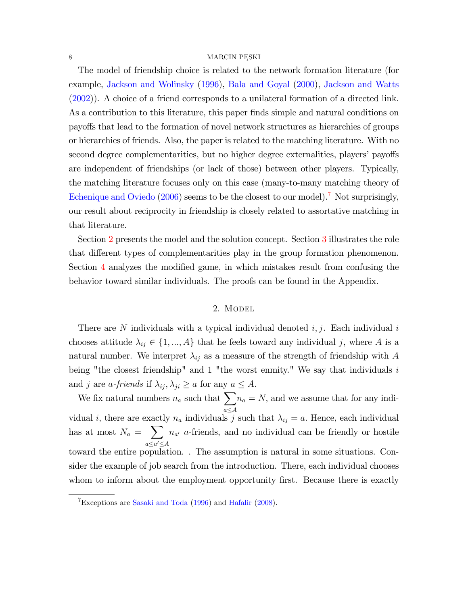The model of friendship choice is related to the network formation literature (for example, [Jackson and Wolinsky](#page-24-12) [\(1996\)](#page-24-12), [Bala and Goyal](#page-22-4) [\(2000\)](#page-22-4), [Jackson and Watts](#page-24-13) [\(2002\)](#page-24-13)). A choice of a friend corresponds to a unilateral formation of a directed link. As a contribution to this literature, this paper finds simple and natural conditions on payo§s that lead to the formation of novel network structures as hierarchies of groups or hierarchies of friends. Also, the paper is related to the matching literature. With no second degree complementarities, but no higher degree externalities, players' payoffs are independent of friendships (or lack of those) between other players. Typically, the matching literature focuses only on this case (many-to-many matching theory of [Echenique and Oviedo](#page-23-13) [\(2006\)](#page-23-13) seems to be the closest to our model).<sup>[7](#page-7-0)</sup> Not surprisingly, our result about reciprocity in friendship is closely related to assortative matching in that literature.

Section [2](#page-7-1) presents the model and the solution concept. Section [3](#page-10-0) illustrates the role that different types of complementarities play in the group formation phenomenon. Section  $4$  analyzes the modified game, in which mistakes result from confusing the behavior toward similar individuals. The proofs can be found in the Appendix.

### 2. MODEL

<span id="page-7-1"></span>There are N individuals with a typical individual denoted  $i, j$ . Each individual i chooses attitude  $\lambda_{ij} \in \{1, ..., A\}$  that he feels toward any individual j, where A is a natural number. We interpret  $\lambda_{ij}$  as a measure of the strength of friendship with A being "the closest friendship" and 1 "the worst enmity." We say that individuals  $i$ and j are *a-friends* if  $\lambda_{ij}, \lambda_{ji} \ge a$  for any  $a \le A$ .

We fix natural numbers  $n_a$  such that  $\sum$  $a \leq A$  $n_a = N$ , and we assume that for any individual i, there are exactly  $n_a$  individuals j such that  $\lambda_{ij} = a$ . Hence, each individual has at most  $N_a = \sum$  $a \leq a' \leq A$  $n_{a'}$  a-friends, and no individual can be friendly or hostile toward the entire population. . The assumption is natural in some situations. Consider the example of job search from the introduction. There, each individual chooses whom to inform about the employment opportunity first. Because there is exactly

<span id="page-7-0"></span><sup>7</sup>Exceptions are [Sasaki and Toda](#page-24-14) [\(1996\)](#page-24-14) and [Hafalir](#page-23-14) [\(2008\)](#page-23-14).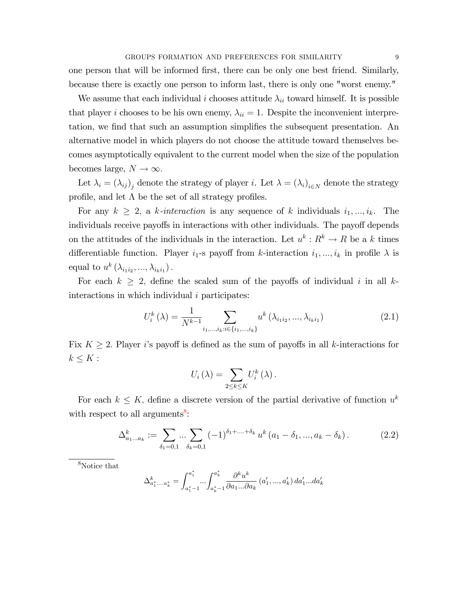one person that will be informed first, there can be only one best friend. Similarly, because there is exactly one person to inform last, there is only one "worst enemy."

We assume that each individual *i* chooses attitude  $\lambda_{ii}$  toward himself. It is possible that player *i* chooses to be his own enemy,  $\lambda_{ii} = 1$ . Despite the inconvenient interpretation, we find that such an assumption simplifies the subsequent presentation. An alternative model in which players do not choose the attitude toward themselves becomes asymptotically equivalent to the current model when the size of the population becomes large,  $N \to \infty$ .

Let  $\lambda_i = (\lambda_{ij})_j$  denote the strategy of player *i*. Let  $\lambda = (\lambda_i)_{i \in N}$  denote the strategy profile, and let  $\Lambda$  be the set of all strategy profiles.

For any  $k \geq 2$ , a k-interaction is any sequence of k individuals  $i_1, ..., i_k$ . The individuals receive payoffs in interactions with other individuals. The payoff depends on the attitudes of the individuals in the interaction. Let  $u^k: R^k \to R$  be a k times differentiable function. Player  $i_1$ -s payoff from k-interaction  $i_1, ..., i_k$  in profile  $\lambda$  is equal to  $u^k(\lambda_{i_1i_2}, ..., \lambda_{i_ki_1})$ .

For each  $k \geq 2$ , define the scaled sum of the payoffs of individual i in all kinteractions in which individual *i* participates:

$$
U_i^k(\lambda) = \frac{1}{N^{k-1}} \sum_{i_1, \dots, i_k : i \in \{i_1, \dots, i_k\}} u^k(\lambda_{i_1 i_2}, \dots, \lambda_{i_k i_1})
$$
(2.1)

Fix  $K \geq 2$ . Player i's payoff is defined as the sum of payoffs in all k-interactions for  $k \leq K$ :

$$
U_i(\lambda) = \sum_{2 \leq k \leq K} U_i^k(\lambda).
$$

For each  $k \leq K$ , define a discrete version of the partial derivative of function  $u^k$ with respect to all arguments<sup>8</sup>:

$$
\Delta_{a_1...a_k}^k := \sum_{\delta_1=0,1} \dots \sum_{\delta_k=0,1} (-1)^{\delta_1+\dots+\delta_k} u^k (a_1 - \delta_1, ..., a_k - \delta_k).
$$
 (2.2)

<span id="page-8-0"></span> $8$ Notice that

$$
\Delta_{a_{1}^{*}...a_{k}^{*}}^{k} = \int_{a_{1}^{*}-1}^{a_{1}^{*}}...\int_{a_{k}^{*}-1}^{a_{k}^{*}} \frac{\partial^{k} u^{k}}{\partial a_{1}... \partial a_{k}} (a_{1}',...,a_{k}') d a_{1}'...d a_{k}'
$$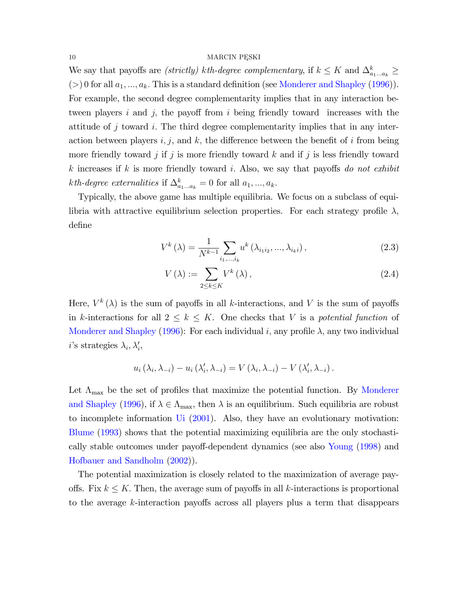We say that payoffs are *(strictly)* kth-degree complementary, if  $k \leq K$  and  $\Delta_{a_1...a_k}^k \geq$ (>) 0 for all  $a_1, ..., a_k$ . This is a standard definition (see Monderer and Shapley (1996)). For example, the second degree complementarity implies that in any interaction between players  $i$  and  $j$ , the payoff from  $i$  being friendly toward increases with the attitude of j toward i. The third degree complementarity implies that in any interaction between players  $i, j$ , and k, the difference between the benefit of i from being more friendly toward j if j is more friendly toward  $k$  and if j is less friendly toward k increases if k is more friendly toward i. Also, we say that payoffs do not exhibit *kth-degree externalities* if  $\Delta_{a_1...a_k}^k = 0$  for all  $a_1, ..., a_k$ .

Typically, the above game has multiple equilibria. We focus on a subclass of equilibria with attractive equilibrium selection properties. For each strategy profile  $\lambda$ , define

$$
V^{k}\left(\lambda\right) = \frac{1}{N^{k-1}} \sum_{i_{1},\dots,i_{k}} u^{k}\left(\lambda_{i_{1}i_{2}},...,\lambda_{i_{k}i}\right),\tag{2.3}
$$

<span id="page-9-0"></span>
$$
V(\lambda) := \sum_{2 \le k \le K} V^k(\lambda), \qquad (2.4)
$$

Here,  $V^k(\lambda)$  is the sum of payoffs in all k-interactions, and V is the sum of payoffs in k-interactions for all  $2 \leq k \leq K$ . One checks that V is a potential function of Monderer and Shapley (1996): For each individual i, any profile  $\lambda$ , any two individual *i*'s strategies  $\lambda_i, \lambda'_i,$ 

$$
u_i(\lambda_i, \lambda_{-i}) - u_i(\lambda'_i, \lambda_{-i}) = V(\lambda_i, \lambda_{-i}) - V(\lambda'_i, \lambda_{-i}).
$$

Let  $\Lambda_{\text{max}}$  be the set of profiles that maximize the potential function. By Monderer and Shapley (1996), if  $\lambda \in \Lambda_{\max}$ , then  $\lambda$  is an equilibrium. Such equilibria are robust to incomplete information  $\overline{U}$  (2001). Also, they have an evolutionary motivation: Blume (1993) shows that the potential maximizing equilibria are the only stochastically stable outcomes under payoff-dependent dynamics (see also Young (1998) and Hofbauer and Sandholm (2002)).

The potential maximization is closely related to the maximization of average payoffs. Fix  $k \leq K$ . Then, the average sum of payoffs in all k-interactions is proportional to the average k-interaction payoffs across all players plus a term that disappears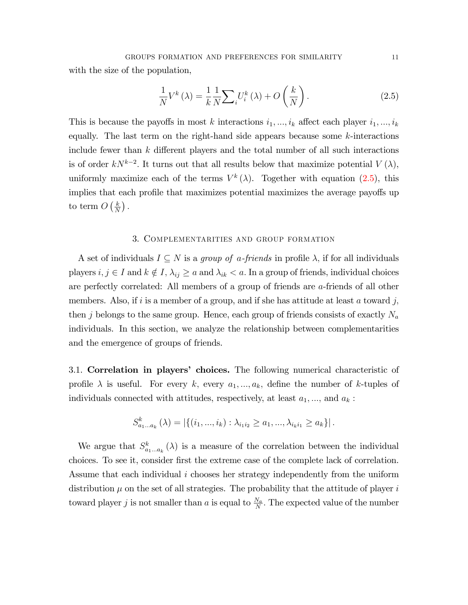<span id="page-10-1"></span>
$$
\frac{1}{N}V^{k}\left(\lambda\right) = \frac{1}{k}\frac{1}{N}\sum_{i}U_{i}^{k}\left(\lambda\right) + O\left(\frac{k}{N}\right). \tag{2.5}
$$

This is because the payoffs in most k interactions  $i_1, ..., i_k$  affect each player  $i_1, ..., i_k$ equally. The last term on the right-hand side appears because some  $k$ -interactions include fewer than  $k$  different players and the total number of all such interactions is of order  $kN^{k-2}$ . It turns out that all results below that maximize potential  $V(\lambda)$ , uniformly maximize each of the terms  $V^k(\lambda)$ . Together with equation [\(2.5\)](#page-10-1), this implies that each profile that maximizes potential maximizes the average payoffs up to term  $O\left(\frac{k}{N}\right)$  $\frac{k}{N}$ ).

### 3. Complementarities and group formation

<span id="page-10-0"></span>A set of individuals  $I \subseteq N$  is a group of a-friends in profile  $\lambda$ , if for all individuals players  $i, j \in I$  and  $k \notin I$ ,  $\lambda_{ij} \ge a$  and  $\lambda_{ik} < a$ . In a group of friends, individual choices are perfectly correlated: All members of a group of friends are a-friends of all other members. Also, if i is a member of a group, and if she has attitude at least a toward j, then j belongs to the same group. Hence, each group of friends consists of exactly  $N_a$ individuals. In this section, we analyze the relationship between complementarities and the emergence of groups of friends.

3.1. Correlation in players' choices. The following numerical characteristic of profile  $\lambda$  is useful. For every k, every  $a_1, ..., a_k$ , define the number of k-tuples of individuals connected with attitudes, respectively, at least  $a_1, \ldots$ , and  $a_k$ :

$$
S_{a_1...a_k}^k(\lambda) = |\{(i_1,...,i_k): \lambda_{i_1 i_2} \ge a_1,..., \lambda_{i_k i_1} \ge a_k\}|.
$$

We argue that  $S_{a_1...a_k}^k(\lambda)$  is a measure of the correlation between the individual choices. To see it, consider Örst the extreme case of the complete lack of correlation. Assume that each individual i chooses her strategy independently from the uniform distribution  $\mu$  on the set of all strategies. The probability that the attitude of player i toward player j is not smaller than a is equal to  $\frac{N_a}{N}$ . The expected value of the number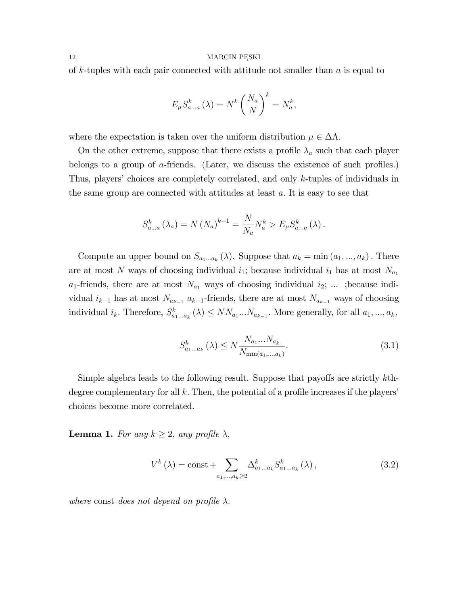of k-tuples with each pair connected with attitude not smaller than  $a$  is equal to

$$
E_{\mu} S_{a...a}^{k} (\lambda) = N^{k} \left(\frac{N_{a}}{N}\right)^{k} = N_{a}^{k},
$$

where the expectation is taken over the uniform distribution  $\mu \in \Delta \Lambda$ .

On the other extreme, suppose that there exists a profile  $\lambda_a$  such that each player belongs to a group of  $\alpha$ -friends. (Later, we discuss the existence of such profiles.) Thus, players' choices are completely correlated, and only  $k$ -tuples of individuals in the same group are connected with attitudes at least  $a$ . It is easy to see that

$$
S_{a...a}^{k} (\lambda_a) = N (N_a)^{k-1} = \frac{N}{N_a} N_a^{k} > E_{\mu} S_{a...a}^{k} (\lambda).
$$

Compute an upper bound on  $S_{a_1...a_k}(\lambda)$ . Suppose that  $a_k = \min(a_1,...,a_k)$ . There are at most N ways of choosing individual  $i_1$ ; because individual  $i_1$  has at most  $N_{a_1}$  $a_1$ -friends, there are at most  $N_{a_1}$  ways of choosing individual  $i_2$ ; ... ; because individual  $i_{k-1}$  has at most  $N_{a_{k-1}}$   $a_{k-1}$ -friends, there are at most  $N_{a_{k-1}}$  ways of choosing individual  $i_k$ . Therefore,  $S_{a_1...a_k}^k(\lambda) \leq NN_{a_1}...N_{a_{k-1}}$ . More generally, for all  $a_1, ..., a_k$ ,

<span id="page-11-0"></span>
$$
S_{a_1...a_k}^k(\lambda) \le N \frac{N_{a_1}...N_{a_k}}{N_{\min(a_1,...,a_k)}}.
$$
\n(3.1)

Simple algebra leads to the following result. Suppose that payoffs are strictly  $k$ thdegree complementary for all  $k$ . Then, the potential of a profile increases if the players' choices become more correlated.

<span id="page-11-1"></span>**Lemma 1.** For any  $k \geq 2$ , any profile  $\lambda$ ,

$$
V^{k}(\lambda) = \text{const} + \sum_{a_1, ..., a_k \ge 2} \Delta^{k}_{a_1...a_k} S^{k}_{a_1...a_k}(\lambda), \qquad (3.2)
$$

where const does not depend on profile  $\lambda$ .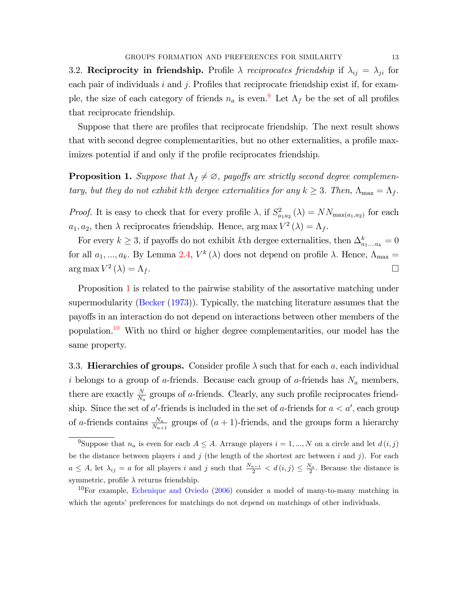3.2. Reciprocity in friendship. Profile  $\lambda$  reciprocates friendship if  $\lambda_{ij} = \lambda_{ji}$  for each pair of individuals  $i$  and  $j$ . Profiles that reciprocate friendship exist if, for example, the size of each category of friends  $n_a$  is even.<sup>[9](#page-12-0)</sup> Let  $\Lambda_f$  be the set of all profiles that reciprocate friendship.

Suppose that there are profiles that reciprocate friendship. The next result shows that with second degree complementarities, but no other externalities, a profile maximizes potential if and only if the profile reciprocates friendship.

<span id="page-12-1"></span>**Proposition 1.** Suppose that  $\Lambda_f \neq \emptyset$ , payoffs are strictly second degree complementary, but they do not exhibit kth dergee externalities for any  $k \geq 3$ . Then,  $\Lambda_{\text{max}} = \Lambda_f$ .

*Proof.* It is easy to check that for every profile  $\lambda$ , if  $S^2_{a_1a_2}(\lambda) = NN_{\max(a_1,a_2)}$  for each  $a_1, a_2$ , then  $\lambda$  reciprocates friendship. Hence,  $\arg \max V^2(\lambda) = \Lambda_f$ .

For every  $k \geq 3$ , if payoffs do not exhibit kth dergee externalities, then  $\Delta_{a_1...a_k}^k = 0$ for all  $a_1, ..., a_k$ . By Lemma [2.4,](#page-9-0)  $V^k(\lambda)$  does not depend on profile  $\lambda$ . Hence,  $\Lambda_{\text{max}} =$  $\arg \max V^2(\lambda) = \Lambda_f.$ 

Proposition [1](#page-12-1) is related to the pairwise stability of the assortative matching under supermodularity [\(Becker](#page-22-5) [\(1973\)](#page-22-5)). Typically, the matching literature assumes that the payo§s in an interaction do not depend on interactions between other members of the population.<sup>[10](#page-12-2)</sup> With no third or higher degree complementarities, our model has the same property.

3.3. Hierarchies of groups. Consider profile  $\lambda$  such that for each a, each individual i belongs to a group of a-friends. Because each group of a-friends has  $N_a$  members, there are exactly  $\frac{N}{N_a}$  groups of a-friends. Clearly, any such profile reciprocates friendship. Since the set of a'-friends is included in the set of a-friends for  $a < a'$ , each group of a-friends contains  $\frac{N_a}{N_{a+1}}$  groups of  $(a+1)$ -friends, and the groups form a hierarchy

<span id="page-12-0"></span><sup>&</sup>lt;sup>9</sup>Suppose that  $n_a$  is even for each  $A \leq A$ . Arrange players  $i = 1, ..., N$  on a circle and let  $d(i, j)$ be the distance between players i and j (the length of the shortest arc between i and j). For each  $a \leq A$ , let  $\lambda_{ij} = a$  for all players i and j such that  $\frac{N_{a-1}}{2} < d(i,j) \leq \frac{N_a}{2}$ . Because the distance is symmetric, profile  $\lambda$  returns friendship.

<span id="page-12-2"></span> $10$ For example, [Echenique and Oviedo](#page-23-13) [\(2006\)](#page-23-13) consider a model of many-to-many matching in which the agents' preferences for matchings do not depend on matchings of other individuals.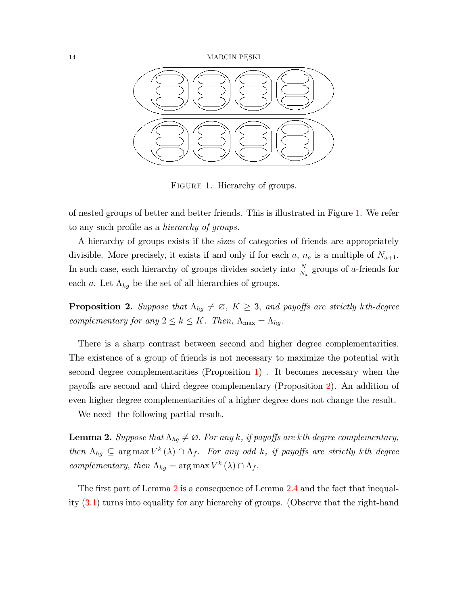

<span id="page-13-0"></span>FIGURE 1. Hierarchy of groups.

of nested groups of better and better friends. This is illustrated in Figure [1.](#page-13-0) We refer to any such profile as a *hierarchy of groups*.

A hierarchy of groups exists if the sizes of categories of friends are appropriately divisible. More precisely, it exists if and only if for each a,  $n_a$  is a multiple of  $N_{a+1}$ . In such case, each hierarchy of groups divides society into  $\frac{N}{N_a}$  groups of a-friends for each a. Let  $\Lambda_{hg}$  be the set of all hierarchies of groups.

<span id="page-13-1"></span>**Proposition 2.** Suppose that  $\Lambda_{hg} \neq \emptyset$ ,  $K \geq 3$ , and payoffs are strictly kth-degree complementary for any  $2 \leq k \leq K$ . Then,  $\Lambda_{\text{max}} = \Lambda_{hg}$ .

There is a sharp contrast between second and higher degree complementarities: The existence of a group of friends is not necessary to maximize the potential with second degree complementarities (Proposition [1\)](#page-12-1) . It becomes necessary when the payoffs are second and third degree complementary (Proposition [2\)](#page-13-1). An addition of even higher degree complementarities of a higher degree does not change the result.

<span id="page-13-2"></span>We need the following partial result.

**Lemma 2.** Suppose that  $\Lambda_{hg} \neq \emptyset$ . For any k, if payoffs are kth degree complementary, then  $\Lambda_{hg} \subseteq \arg \max V^k(\lambda) \cap \Lambda_f$ . For any odd k, if payoffs are strictly kth degree complementary, then  $\Lambda_{hg} = \arg \max V^k(\lambda) \cap \Lambda_f$ .

The first part of Lemma [2](#page-13-2) is a consequence of Lemma [2.4](#page-9-0) and the fact that inequality [\(3.1\)](#page-11-0) turns into equality for any hierarchy of groups. (Observe that the right-hand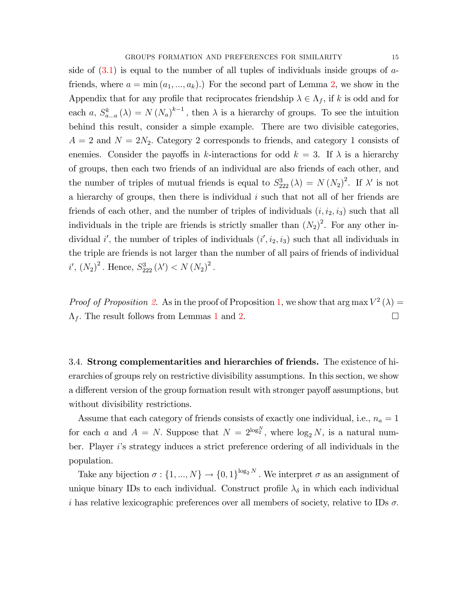side of  $(3.1)$  is equal to the number of all tuples of individuals inside groups of  $a$ friends, where  $a = \min(a_1, ..., a_k)$ .) For the second part of Lemma [2,](#page-13-2) we show in the Appendix that for any profile that reciprocates friendship  $\lambda \in \Lambda_f$ , if k is odd and for each a,  $S_{a...a}^{k}(\lambda) = N(N_a)^{k-1}$ , then  $\lambda$  is a hierarchy of groups. To see the intuition behind this result, consider a simple example. There are two divisible categories,  $A = 2$  and  $N = 2N_2$ . Category 2 corresponds to friends, and category 1 consists of enemies. Consider the payoffs in k-interactions for odd  $k = 3$ . If  $\lambda$  is a hierarchy of groups, then each two friends of an individual are also friends of each other, and the number of triples of mutual friends is equal to  $S_{222}^3(\lambda) = N (N_2)^2$ . If  $\lambda'$  is not a hierarchy of groups, then there is individual  $i$  such that not all of her friends are friends of each other, and the number of triples of individuals  $(i, i_2, i_3)$  such that all individuals in the triple are friends is strictly smaller than  $(N_2)^2$ . For any other individual i', the number of triples of individuals  $(i', i_2, i_3)$  such that all individuals in the triple are friends is not larger than the number of all pairs of friends of individual  $i', (N_2)^2$ . Hence,  $S_{222}^3(\lambda') < N (N_2)^2$ .

*Proof of Proposition [2.](#page-13-1)* As in the proof of Proposition [1,](#page-12-1) we show that  $\arg \max V^2(\lambda) =$  $\Lambda_f$ . The result follows from Lemmas [1](#page-11-1) and [2.](#page-13-2)

3.4. Strong complementarities and hierarchies of friends. The existence of hierarchies of groups rely on restrictive divisibility assumptions. In this section, we show a different version of the group formation result with stronger payoff assumptions, but without divisibility restrictions.

Assume that each category of friends consists of exactly one individual, i.e.,  $n_a = 1$ for each a and  $A = N$ . Suppose that  $N = 2^{\log_2^N}$ , where  $\log_2 N$ , is a natural number. Player *i*'s strategy induces a strict preference ordering of all individuals in the population.

Take any bijection  $\sigma: \{1, ..., N\} \to \{0, 1\}^{\log_2 N}$ . We interpret  $\sigma$  as an assignment of unique binary IDs to each individual. Construct profile  $\lambda_{\delta}$  in which each individual i has relative lexicographic preferences over all members of society, relative to IDs  $\sigma$ .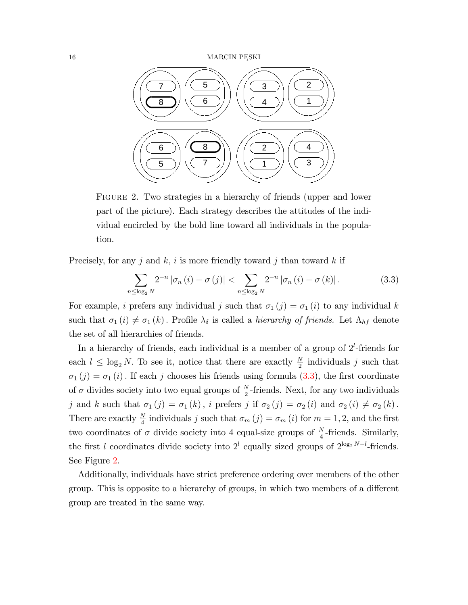

<span id="page-15-1"></span>FIGURE 2. Two strategies in a hierarchy of friends (upper and lower part of the picture). Each strategy describes the attitudes of the individual encircled by the bold line toward all individuals in the population.

Precisely, for any j and  $k$ , i is more friendly toward j than toward k if

<span id="page-15-0"></span>
$$
\sum_{n \leq \log_2 N} 2^{-n} |\sigma_n(i) - \sigma(j)| < \sum_{n \leq \log_2 N} 2^{-n} |\sigma_n(i) - \sigma(k)|. \tag{3.3}
$$

For example, *i* prefers any individual *j* such that  $\sigma_1 (j) = \sigma_1 (i)$  to any individual k such that  $\sigma_1 (i) \neq \sigma_1 (k)$ . Profile  $\lambda_{\delta}$  is called a *hierarchy of friends*. Let  $\Lambda_{hf}$  denote the set of all hierarchies of friends.

In a hierarchy of friends, each individual is a member of a group of  $2^l$ -friends for each  $l \leq \log_2 N$ . To see it, notice that there are exactly  $\frac{N}{2}$  individuals j such that  $\sigma_1 (j) = \sigma_1 (i)$ . If each j chooses his friends using formula [\(3.3\)](#page-15-0), the first coordinate of  $\sigma$  divides society into two equal groups of  $\frac{N}{2}$ -friends. Next, for any two individuals j and k such that  $\sigma_1 (j) = \sigma_1 (k)$ , i prefers j if  $\sigma_2 (j) = \sigma_2 (i)$  and  $\sigma_2 (i) \neq \sigma_2 (k)$ . There are exactly  $\frac{N}{4}$  individuals j such that  $\sigma_m(j) = \sigma_m(i)$  for  $m = 1, 2$ , and the first two coordinates of  $\sigma$  divide society into 4 equal-size groups of  $\frac{N}{4}$ -friends. Similarly, the first l coordinates divide society into  $2^l$  equally sized groups of  $2^{\log_2 N - l}$ -friends. See Figure [2.](#page-15-1)

Additionally, individuals have strict preference ordering over members of the other group. This is opposite to a hierarchy of groups, in which two members of a different group are treated in the same way.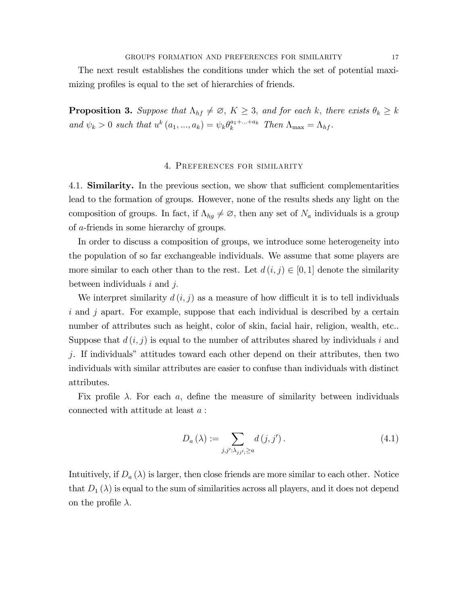The next result establishes the conditions under which the set of potential maximizing profiles is equal to the set of hierarchies of friends.

<span id="page-16-1"></span>**Proposition 3.** Suppose that  $\Lambda_{hf} \neq \emptyset$ ,  $K \geq 3$ , and for each k, there exists  $\theta_k \geq k$ and  $\psi_k > 0$  such that  $u^k(a_1, ..., a_k) = \psi_k \theta_k^{a_1 + ... + a_k}$  Then  $\Lambda_{\text{max}} = \Lambda_{hf}$ .

# 4. Preferences for similarity

<span id="page-16-0"></span>4.1. **Similarity.** In the previous section, we show that sufficient complementarities lead to the formation of groups. However, none of the results sheds any light on the composition of groups. In fact, if  $\Lambda_{hg} \neq \emptyset$ , then any set of  $N_a$  individuals is a group of a-friends in some hierarchy of groups:

In order to discuss a composition of groups, we introduce some heterogeneity into the population of so far exchangeable individuals. We assume that some players are more similar to each other than to the rest. Let  $d(i, j) \in [0, 1]$  denote the similarity between individuals  $i$  and  $j$ .

We interpret similarity  $d(i, j)$  as a measure of how difficult it is to tell individuals i and j apart. For example, suppose that each individual is described by a certain number of attributes such as height, color of skin, facial hair, religion, wealth, etc.. Suppose that  $d(i, j)$  is equal to the number of attributes shared by individuals i and  $j$ . If individuals" attitudes toward each other depend on their attributes, then two individuals with similar attributes are easier to confuse than individuals with distinct attributes.

Fix profile  $\lambda$ . For each a, define the measure of similarity between individuals connected with attitude at least a :

$$
D_a\left(\lambda\right) := \sum_{j,j':\lambda_{jj'}\geq a} d\left(j,j'\right). \tag{4.1}
$$

Intuitively, if  $D_a(\lambda)$  is larger, then close friends are more similar to each other. Notice that  $D_1(\lambda)$  is equal to the sum of similarities across all players, and it does not depend on the profile  $\lambda$ .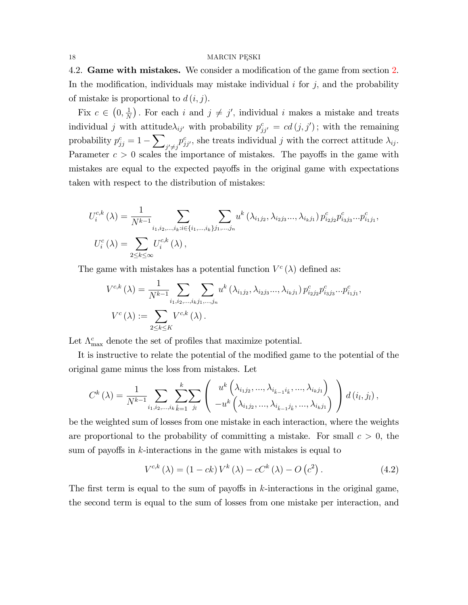4.[2.](#page-7-1) Game with mistakes. We consider a modification of the game from section 2. In the modification, individuals may mistake individual  $i$  for  $j$ , and the probability of mistake is proportional to  $d(i, j)$ .

Fix  $c \in \left(0, \frac{1}{N}\right)$  $\frac{1}{N}$ ). For each *i* and  $j \neq j'$ , individual *i* makes a mistake and treats individual j with attitude $\lambda_{ij'}$  with probability  $p_{jj'}^c = cd(j, j')$ ; with the remaining probability  $p_{jj}^c = 1 - \sum$  $j' \neq j$  $p_{jj'}^c$ , she treats individual j with the correct attitude  $\lambda_{ij}$ . Parameter  $c > 0$  scales the importance of mistakes. The payoffs in the game with mistakes are equal to the expected payoffs in the original game with expectations taken with respect to the distribution of mistakes:

$$
U_i^{c,k}(\lambda) = \frac{1}{N^{k-1}} \sum_{i_1, i_2, \dots, i_k; i \in \{i_1, \dots, i_k\}} \sum_{j_1, \dots, j_n} u^k(\lambda_{i_1 j_2}, \lambda_{i_2 j_3} \dots, \lambda_{i_k j_1}) p_{i_2 j_2}^c p_{i_3 j_3}^c \dots p_{i_1 j_1}^c,
$$
  

$$
U_i^c(\lambda) = \sum_{2 \le k \le \infty} U_i^{c,k}(\lambda),
$$

The game with mistakes has a potential function  $V^c(\lambda)$  defined as:

$$
V^{c,k}(\lambda) = \frac{1}{N^{k-1}} \sum_{i_1, i_2, \dots, i_k, j_1, \dots, j_n} u^k(\lambda_{i_1 j_2}, \lambda_{i_2 j_3} \dots, \lambda_{i_k j_1}) p_{i_2 j_2}^c p_{i_3 j_3}^c \dots p_{i_1 j_1}^c,
$$
  

$$
V^c(\lambda) := \sum_{2 \le k \le K} V^{c,k}(\lambda).
$$

Let  $\Lambda_{\max}^c$  denote the set of profiles that maximize potential.

It is instructive to relate the potential of the modified game to the potential of the original game minus the loss from mistakes. Let

$$
C^{k}(\lambda) = \frac{1}{N^{k-1}} \sum_{i_1, i_2, ..., i_k} \sum_{\hat{k}=1}^{k} \sum_{j_l} \left( \begin{array}{c} u^k \left( \lambda_{i_1 j_2}, ..., \lambda_{i_{\hat{k}-1} i_{\hat{k}}}, ..., \lambda_{i_k j_1} \right) \\ -u^k \left( \lambda_{i_1 j_2}, ..., \lambda_{i_{\hat{k}-1} j_{\hat{k}}}, ..., \lambda_{i_k j_1} \right) \end{array} \right) d(i_l, j_l),
$$

be the weighted sum of losses from one mistake in each interaction, where the weights are proportional to the probability of committing a mistake. For small  $c > 0$ , the sum of payoffs in  $k$ -interactions in the game with mistakes is equal to

<span id="page-17-0"></span>
$$
V^{c,k} (\lambda) = (1 - ck) V^k (\lambda) - c C^k (\lambda) - O (c^2).
$$
 (4.2)

The first term is equal to the sum of payoffs in  $k$ -interactions in the original game, the second term is equal to the sum of losses from one mistake per interaction, and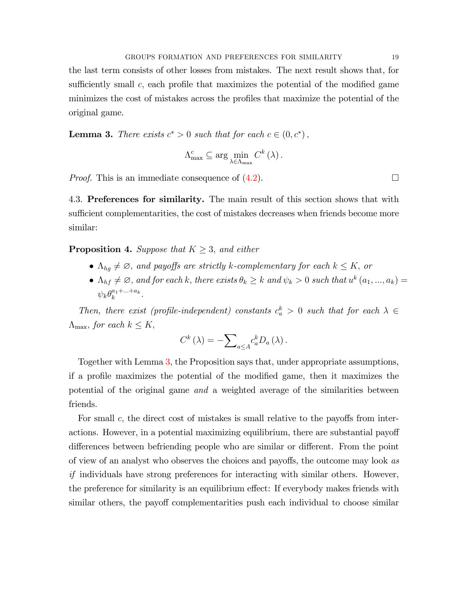the last term consists of other losses from mistakes. The next result shows that, for sufficiently small c, each profile that maximizes the potential of the modified game minimizes the cost of mistakes across the profiles that maximize the potential of the original game.

<span id="page-18-0"></span>**Lemma 3.** There exists  $c^* > 0$  such that for each  $c \in (0, c^*)$ ,

$$
\Lambda_{\max}^c \subseteq \arg\min_{\lambda \in \Lambda_{\max}} C^k(\lambda).
$$

*Proof.* This is an immediate consequence of  $(4.2)$ .

4.3. Preferences for similarity. The main result of this section shows that with sufficient complementarities, the cost of mistakes decreases when friends become more similar:

<span id="page-18-1"></span>**Proposition 4.** Suppose that  $K \geq 3$ , and either

- $\Lambda_{hg} \neq \emptyset$ , and payoffs are strictly k-complementary for each  $k \leq K$ , or
- $\Lambda_{hf} \neq \emptyset$ , and for each k, there exists  $\theta_k \geq k$  and  $\psi_k > 0$  such that  $u^k(a_1, ..., a_k) =$  $\psi_k \theta_k^{a_1 + \ldots + a_k}.$

Then, there exist (profile-independent) constants  $c_a^k > 0$  such that for each  $\lambda \in$  $\Lambda_{\text{max}}$ , for each  $k \leq K$ ,

$$
C^{k}(\lambda) = -\sum_{a \leq A} c_{a}^{k} D_{a}(\lambda).
$$

Together with Lemma [3,](#page-18-0) the Proposition says that, under appropriate assumptions, if a profile maximizes the potential of the modified game, then it maximizes the potential of the original game and a weighted average of the similarities between friends.

For small c, the direct cost of mistakes is small relative to the payoffs from interactions. However, in a potential maximizing equilibrium, there are substantial payoff differences between befriending people who are similar or different. From the point of view of an analyst who observes the choices and payoffs, the outcome may look as if individuals have strong preferences for interacting with similar others. However, the preference for similarity is an equilibrium effect: If everybody makes friends with similar others, the payoff complementarities push each individual to choose similar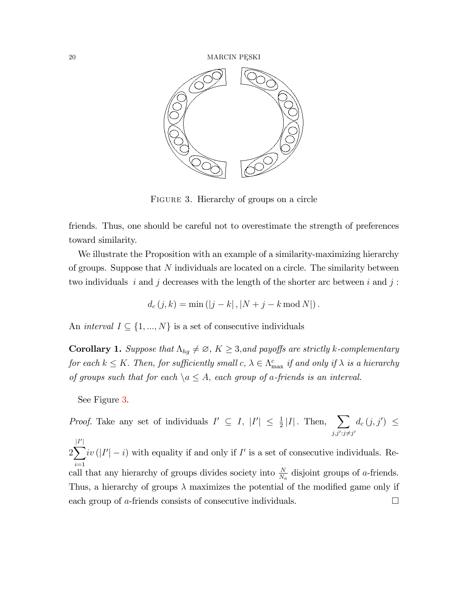

<span id="page-19-0"></span>FIGURE 3. Hierarchy of groups on a circle

friends. Thus, one should be careful not to overestimate the strength of preferences toward similarity.

We illustrate the Proposition with an example of a similarity-maximizing hierarchy of groups. Suppose that N individuals are located on a circle. The similarity between two individuals i and j decreases with the length of the shorter arc between i and j:

$$
d_c(j,k) = \min(|j - k|, |N + j - k \mod N|).
$$

An *interval*  $I \subseteq \{1, ..., N\}$  is a set of consecutive individuals

**Corollary 1.** Suppose that  $\Lambda_{hg} \neq \emptyset$ ,  $K \geq 3$ , and payoffs are strictly k-complementary for each  $k \leq K$ . Then, for sufficiently small  $c, \lambda \in \Lambda_{\max}^c$  if and only if  $\lambda$  is a hierarchy of groups such that for each  $\setminus a \leq A$ , each group of a-friends is an interval.

See Figure [3.](#page-19-0)

*Proof.* Take any set of individuals  $I' \subseteq I$ ,  $|I'| \leq \frac{1}{2}|I|$ . Then,  $\sum$  $j, j'; j \neq j'$  $d_c(j, j') \leq$ 

2  $\overline{\mathbf{V}}$  $i=1$  $iv(|I'|-i)$  with equality if and only if  $I'$  is a set of consecutive individuals. Recall that any hierarchy of groups divides society into  $\frac{N}{N_a}$  disjoint groups of a-friends. Thus, a hierarchy of groups  $\lambda$  maximizes the potential of the modified game only if each group of a-friends consists of consecutive individuals.  $\Box$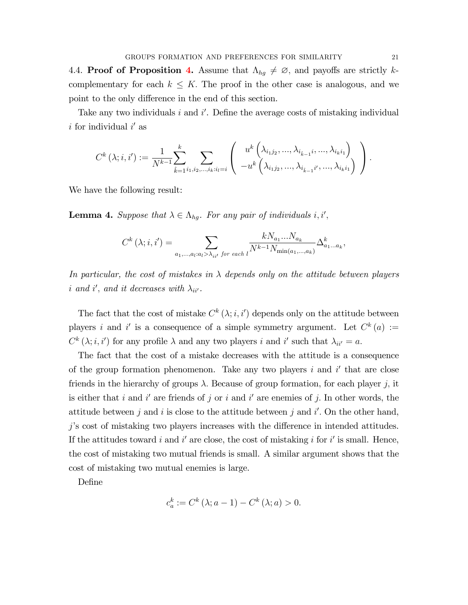[4.](#page-18-1)4. Proof of Proposition 4. Assume that  $\Lambda_{hg} \neq \emptyset$ , and payoffs are strictly kcomplementary for each  $k \leq K$ . The proof in the other case is analogous, and we point to the only difference in the end of this section.

Take any two individuals  $i$  and  $i'$ . Define the average costs of mistaking individual  $i$  for individual  $i'$  as

$$
C^{k}(\lambda; i, i') := \frac{1}{N^{k-1}} \sum_{\hat{k}=1}^{k} \sum_{i_1, i_2, \dots, i_k: i_l = i} \left( \begin{array}{c} u^k\left(\lambda_{i_1 j_2}, \dots, \lambda_{i_{\hat{k}-1}} i, \dots, \lambda_{i_k i_1}\right) \\ -u^k\left(\lambda_{i_1 j_2}, \dots, \lambda_{i_{\hat{k}-1}} i', \dots, \lambda_{i_k i_1}\right) \end{array} \right).
$$

<span id="page-20-0"></span>We have the following result:

**Lemma 4.** Suppose that  $\lambda \in \Lambda_{hg}$ . For any pair of individuals i, i',

$$
C^{k}(\lambda; i, i') = \sum_{a_1, \dots, a_l : a_l > \lambda_{ii'}} \frac{k N_{a_1} \dots N_{a_k}}{N^{k-1} N_{\min(a_1, \dots, a_k)}} \Delta_{a_1 \dots a_k}^k,
$$

In particular, the cost of mistakes in  $\lambda$  depends only on the attitude between players i and i', and it decreases with  $\lambda_{ii'}$ .

The fact that the cost of mistake  $C^k(\lambda; i, i')$  depends only on the attitude between players i and i' is a consequence of a simple symmetry argument. Let  $C^k(a) :=$  $C^k(\lambda; i, i')$  for any profile  $\lambda$  and any two players i and i' such that  $\lambda_{ii'} = a$ .

The fact that the cost of a mistake decreases with the attitude is a consequence of the group formation phenomenon. Take any two players  $i$  and  $i'$  that are close friends in the hierarchy of groups  $\lambda$ . Because of group formation, for each player j, it is either that i and i' are friends of j or i and i' are enemies of j. In other words, the attitude between j and i is close to the attitude between j and i'. On the other hand,  $j$ 's cost of mistaking two players increases with the difference in intended attitudes. If the attitudes toward i and i' are close, the cost of mistaking i for i' is small. Hence, the cost of mistaking two mutual friends is small. A similar argument shows that the cost of mistaking two mutual enemies is large.

DeÖne

$$
c_a^k := C^k (\lambda; a - 1) - C^k (\lambda; a) > 0.
$$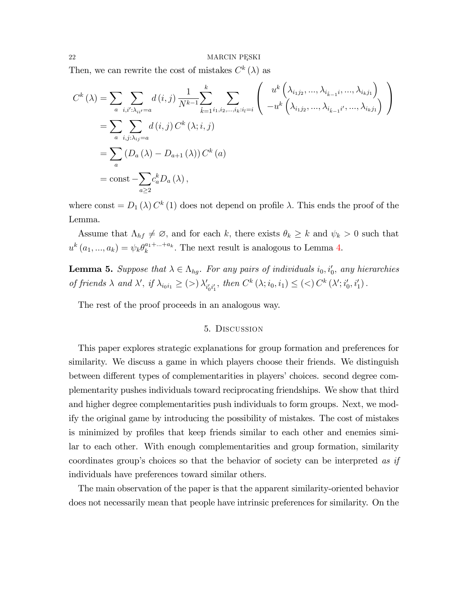Then, we can rewrite the cost of mistakes  $C^k(\lambda)$  as

$$
C^{k} (\lambda) = \sum_{a} \sum_{i,i':\lambda_{ii'}=a} d(i,j) \frac{1}{N^{k-1}} \sum_{\hat{k}=1}^{k} \sum_{i_1,i_2,...,i_k:i_l=i} \begin{pmatrix} u^{k} (\lambda_{i_1j_2},..., \lambda_{i_{\hat{k}-1}}i, ..., \lambda_{i_kj_1}) \\ -u^{k} (\lambda_{i_1j_2},..., \lambda_{i_{\hat{k}-1}}i', ..., \lambda_{i_kj_1}) \end{pmatrix}
$$
  
= 
$$
\sum_{a} \sum_{i,j:\lambda_{ij}=a} d(i,j) C^{k} (\lambda; i,j)
$$
  
= 
$$
\sum_{a} (D_{a} (\lambda) - D_{a+1} (\lambda)) C^{k} (a)
$$
  
= const 
$$
-\sum_{a \ge 2} c_{a}^{k} D_{a} (\lambda),
$$

where const =  $D_1(\lambda) C^k(1)$  does not depend on profile  $\lambda$ . This ends the proof of the Lemma.

Assume that  $\Lambda_{hf} \neq \emptyset$ , and for each k, there exists  $\theta_k \geq k$  and  $\psi_k > 0$  such that  $u^{k}(a_1,...,a_k) = \psi_k \theta_k^{a_1 + ... + a_k}$ . The next result is analogous to Lemma [4.](#page-20-0)

<span id="page-21-0"></span>**Lemma 5.** Suppose that  $\lambda \in \Lambda_{hg}$ . For any pairs of individuals  $i_0, i'_0$ , any hierarchies of friends  $\lambda$  and  $\lambda'$ , if  $\lambda_{i_0i_1} \geq (>) \lambda'_{i'_0i'_1}$ , then  $C^k(\lambda; i_0, i_1) \leq (<) C^k(\lambda'; i'_0, i'_1)$ .

The rest of the proof proceeds in an analogous way.

### 5. Discussion

This paper explores strategic explanations for group formation and preferences for similarity. We discuss a game in which players choose their friends. We distinguish between different types of complementarities in players' choices. second degree complementarity pushes individuals toward reciprocating friendships. We show that third and higher degree complementarities push individuals to form groups. Next, we modify the original game by introducing the possibility of mistakes. The cost of mistakes is minimized by profiles that keep friends similar to each other and enemies similar to each other. With enough complementarities and group formation, similarity coordinates group's choices so that the behavior of society can be interpreted as if individuals have preferences toward similar others.

The main observation of the paper is that the apparent similarity-oriented behavior does not necessarily mean that people have intrinsic preferences for similarity. On the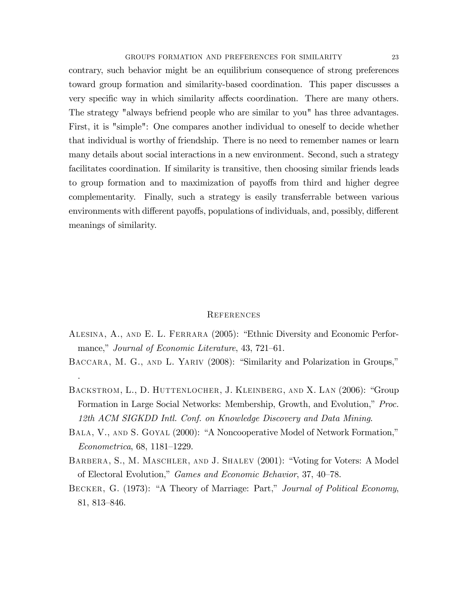contrary, such behavior might be an equilibrium consequence of strong preferences toward group formation and similarity-based coordination. This paper discusses a very specific way in which similarity affects coordination. There are many others. The strategy "always befriend people who are similar to you" has three advantages. First, it is "simple": One compares another individual to oneself to decide whether that individual is worthy of friendship. There is no need to remember names or learn many details about social interactions in a new environment. Second, such a strategy facilitates coordination. If similarity is transitive, then choosing similar friends leads to group formation and to maximization of payoffs from third and higher degree complementarity. Finally, such a strategy is easily transferrable between various environments with different payoffs, populations of individuals, and, possibly, different meanings of similarity.

### **REFERENCES**

- <span id="page-22-0"></span>ALESINA, A., AND E. L. FERRARA (2005): "Ethnic Diversity and Economic Performance," Journal of Economic Literature, 43, 721-61.
- <span id="page-22-3"></span>BACCARA, M. G., AND L. YARIV (2008): "Similarity and Polarization in Groups,"

.

- <span id="page-22-2"></span>BACKSTROM, L., D. HUTTENLOCHER, J. KLEINBERG, AND X. LAN (2006): "Group Formation in Large Social Networks: Membership, Growth, and Evolution,<sup>n</sup> Proc. 12th ACM SIGKDD Intl. Conf. on Knowledge Discovery and Data Mining.
- <span id="page-22-4"></span>BALA, V., AND S. GOYAL (2000): "A Noncooperative Model of Network Formation,"  $Econometrica, 68, 1181–1229.$
- <span id="page-22-1"></span>BARBERA, S., M. MASCHLER, AND J. SHALEV (2001): "Voting for Voters: A Model of Electoral Evolution," Games and Economic Behavior, 37, 40–78.
- <span id="page-22-5"></span>BECKER, G. (1973): "A Theory of Marriage: Part," Journal of Political Economy, 81, 813–846.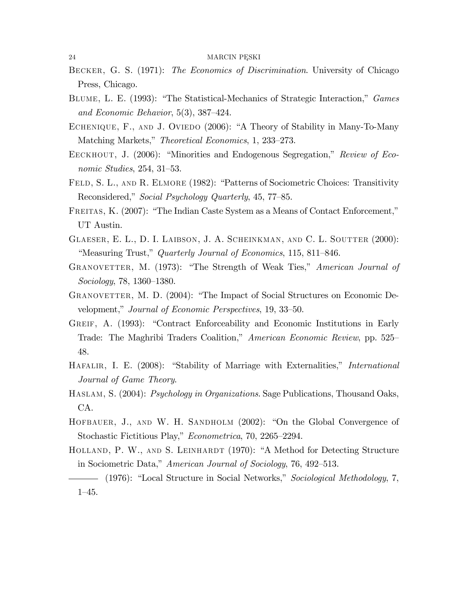- <span id="page-23-0"></span>BECKER, G. S. (1971): The Economics of Discrimination. University of Chicago Press, Chicago.
- <span id="page-23-2"></span>BLUME, L. E. (1993): "The Statistical-Mechanics of Strategic Interaction," Games and Economic Behavior,  $5(3)$ ,  $387-424$ .
- <span id="page-23-13"></span>ECHENIQUE, F., AND J. OVIEDO (2006): "A Theory of Stability in Many-To-Many Matching Markets," Theoretical Economics, 1, 233-273.
- <span id="page-23-11"></span>EECKHOUT, J. (2006): "Minorities and Endogenous Segregation," Review of Economic Studies,  $254$ ,  $31-53$ .
- <span id="page-23-6"></span>FELD, S. L., AND R. ELMORE (1982): "Patterns of Sociometric Choices: Transitivity Reconsidered," Social Psychology Quarterly, 45, 77–85.
- <span id="page-23-10"></span>FREITAS, K. (2007): "The Indian Caste System as a Means of Contact Enforcement," UT Austin.
- <span id="page-23-8"></span>GLAESER, E. L., D. I. LAIBSON, J. A. SCHEINKMAN, AND C. L. SOUTTER (2000): "Measuring Trust," Quarterly Journal of Economics, 115, 811–846.
- <span id="page-23-1"></span>GRANOVETTER, M. (1973): "The Strength of Weak Ties," American Journal of Sociology, 78, 1360–1380.
- <span id="page-23-7"></span>GRANOVETTER, M. D. (2004): "The Impact of Social Structures on Economic Development," Journal of Economic Perspectives, 19, 33–50.
- <span id="page-23-9"></span>GREIF, A. (1993): "Contract Enforceability and Economic Institutions in Early Trade: The Maghribi Traders Coalition," American Economic Review, pp. 525– 48.
- <span id="page-23-14"></span>HAFALIR, I. E. (2008): "Stability of Marriage with Externalities," International Journal of Game Theory.
- <span id="page-23-12"></span>HASLAM, S. (2004): *Psychology in Organizations*. Sage Publications, Thousand Oaks, CA.
- <span id="page-23-3"></span>HOFBAUER, J., AND W. H. SANDHOLM (2002): "On the Global Convergence of Stochastic Fictitious Play," *Econometrica*, 70, 2265–2294.
- <span id="page-23-4"></span>HOLLAND, P. W., AND S. LEINHARDT (1970): "A Method for Detecting Structure in Sociometric Data," American Journal of Sociology, 76, 492–513.
- <span id="page-23-5"></span>- (1976): "Local Structure in Social Networks," Sociological Methodology, 7,  $1 - 45.$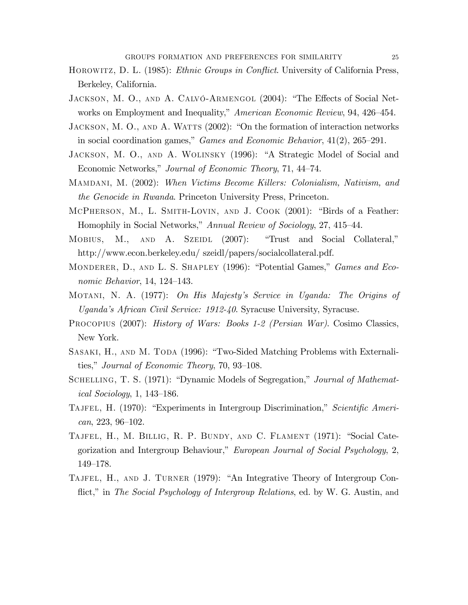- <span id="page-24-2"></span>HOROWITZ, D. L. (1985): *Ethnic Groups in Conflict*. University of California Press, Berkeley, California.
- <span id="page-24-3"></span>JACKSON, M. O., AND A. CALVÓ-ARMENGOL (2004): "The Effects of Social Networks on Employment and Inequality," American Economic Review, 94, 426-454.
- <span id="page-24-13"></span>JACKSON, M. O., AND A. WATTS (2002): "On the formation of interaction networks in social coordination games," *Games and Economic Behavior*,  $41(2)$ ,  $265-291$ .
- <span id="page-24-12"></span>JACKSON, M. O., AND A. WOLINSKY (1996): "A Strategic Model of Social and Economic Networks," Journal of Economic Theory, 71, 44–74.
- <span id="page-24-8"></span>MAMDANI, M. (2002): When Victims Become Killers: Colonialism, Nativism, and *the Genocide in Rwanda*. Princeton University Press, Princeton.
- <span id="page-24-0"></span>MCPHERSON, M., L. SMITH-LOVIN, AND J. COOK (2001): "Birds of a Feather: Homophily in Social Networks," Annual Review of Sociology, 27, 415–44.
- <span id="page-24-6"></span>MOBIUS, M., AND A. SZEIDL (2007): "Trust and Social Collateral," http://www.econ.berkeley.edu/szeidl/papers/socialcollateral.pdf.
- <span id="page-24-5"></span>MONDERER, D., AND L. S. SHAPLEY (1996): "Potential Games," *Games and Eco*nomic Behavior, 14, 124-143.
- <span id="page-24-4"></span>MOTANI, N. A. (1977): On His Majesty's Service in Uganda: The Origins of Uganda's African Civil Service: 1912-40. Syracuse University, Syracuse.
- <span id="page-24-7"></span>PROCOPIUS (2007): History of Wars: Books 1-2 (Persian War). Cosimo Classics, New York.
- <span id="page-24-14"></span>SASAKI, H., AND M. TODA (1996): "Two-Sided Matching Problems with Externalities," Journal of Economic Theory, 70, 93–108.
- <span id="page-24-1"></span>SCHELLING, T. S. (1971): "Dynamic Models of Segregation," Journal of Mathemat*ical Sociology*, 1, 143–186.
- <span id="page-24-9"></span>TAJFEL, H. (1970): "Experiments in Intergroup Discrimination," Scientific Ameri $can, 223, 96-102.$
- <span id="page-24-11"></span>TAJFEL, H., M. BILLIG, R. P. BUNDY, AND C. FLAMENT (1971): "Social Categorization and Intergroup Behaviour," European Journal of Social Psychology, 2,  $149 - 178.$
- <span id="page-24-10"></span>TAJFEL, H., AND J. TURNER (1979): "An Integrative Theory of Intergroup Conflict," in The Social Psychology of Intergroup Relations, ed. by W. G. Austin, and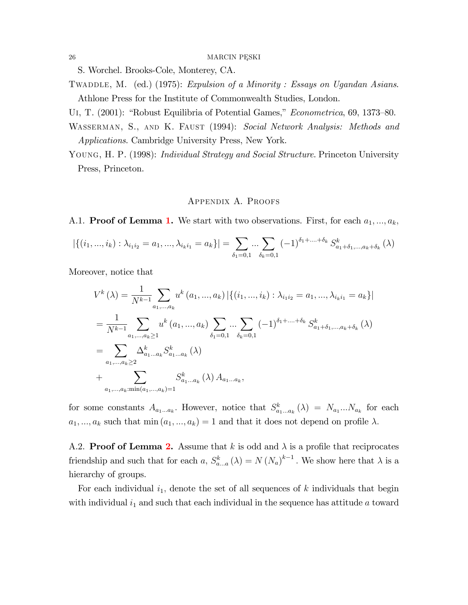S. Worchel. Brooks-Cole, Monterey, CA.

- <span id="page-25-0"></span>TWADDLE, M. (ed.) (1975): Expulsion of a Minority: Essays on Ugandan Asians. Athlone Press for the Institute of Commonwealth Studies, London.
- <span id="page-25-3"></span><span id="page-25-1"></span>UI, T. (2001): "Robust Equilibria of Potential Games," *Econometrica*, 69, 1373–80.
- WASSERMAN, S., AND K. FAUST (1994): Social Network Analysis: Methods and *Applications.* Cambridge University Press, New York.
- <span id="page-25-2"></span>YOUNG, H. P. (1998): *Individual Strategy and Social Structure*. Princeton University Press, Princeton.

## APPENDIX A. PROOFS

A.1. **Proof of Lemma 1.** We start with two observations. First, for each  $a_1, ..., a_k$ ,

$$
|\{(i_1, ..., i_k) : \lambda_{i_1 i_2} = a_1, ..., \lambda_{i_k i_1} = a_k\}| = \sum_{\delta_1 = 0, 1} ... \sum_{\delta_k = 0, 1} (-1)^{\delta_1 + ... + \delta_k} S^k_{a_1 + \delta_1, ..., a_k + \delta_k}(\lambda)
$$

Moreover, notice that

$$
V^{k}(\lambda) = \frac{1}{N^{k-1}} \sum_{a_1, ..., a_k} u^{k} (a_1, ..., a_k) | \{ (i_1, ..., i_k) : \lambda_{i_1 i_2} = a_1, ..., \lambda_{i_k i_1} = a_k \} |
$$
  
\n
$$
= \frac{1}{N^{k-1}} \sum_{a_1, ..., a_k \ge 1} u^{k} (a_1, ..., a_k) \sum_{\delta_1 = 0, 1} ... \sum_{\delta_k = 0, 1} (-1)^{\delta_1 + ... + \delta_k} S^{k}_{a_1 + \delta_1, ..., a_k + \delta_k} (\lambda)
$$
  
\n
$$
= \sum_{a_1, ..., a_k \ge 2} \Delta^{k}_{a_1...a_k} S^{k}_{a_1...a_k} (\lambda)
$$
  
\n
$$
+ \sum_{a_1, ..., a_k, \min(a_1, ..., a_k) = 1} S^{k}_{a_1...a_k} (\lambda) A_{a_1...a_k},
$$

for some constants  $A_{a_1...a_k}$ . However, notice that  $S_{a_1...a_k}^k(\lambda) = N_{a_1}...N_{a_k}$  for each  $a_1, ..., a_k$  such that min $(a_1, ..., a_k) = 1$  and that it does not depend on profile  $\lambda$ .

A.2. **Proof of Lemma 2.** Assume that k is odd and  $\lambda$  is a profile that reciprocates friendship and such that for each a,  $S_{a...a}^{k}(\lambda) = N(N_a)^{k-1}$ . We show here that  $\lambda$  is a hierarchy of groups.

For each individual  $i_1$ , denote the set of all sequences of k individuals that begin with individual  $i_1$  and such that each individual in the sequence has attitude a toward

26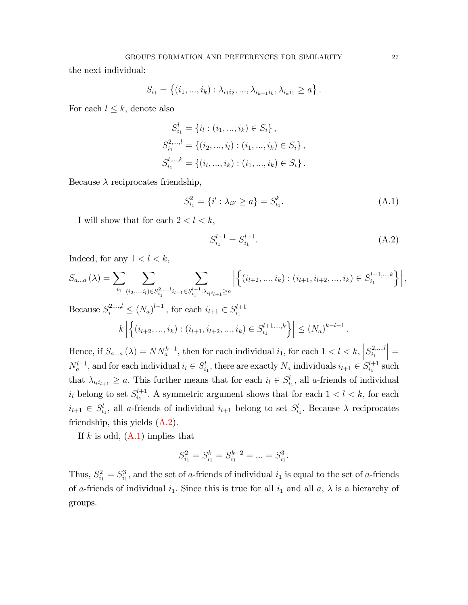the next individual:

$$
S_{i_1} = \{(i_1, ..., i_k) : \lambda_{i_1 i_2}, ..., \lambda_{i_{k-1} i_k}, \lambda_{i_k i_1} \geq a\}.
$$

For each  $l \leq k$ , denote also

$$
S_{i_1}^l = \{i_l : (i_1, ..., i_k) \in S_i\},
$$
  
\n
$$
S_{i_1}^{2,...,l} = \{(i_2, ..., i_l) : (i_1, ..., i_k) \in S_i\},
$$
  
\n
$$
S_{i_1}^{l,...,k} = \{(i_l, ..., i_k) : (i_1, ..., i_k) \in S_i\}.
$$

Because  $\lambda$  reciprocates friendship,

<span id="page-26-1"></span>
$$
S_{i_1}^2 = \{i' : \lambda_{ii'} \ge a\} = S_{i_1}^k.
$$
\n(A.1)

I will show that for each  $2 < l < k$ ,

<span id="page-26-0"></span>
$$
S_{i_1}^{l-1} = S_{i_1}^{l+1}.\tag{A.2}
$$

Indeed, for any  $1 < l < k$ ,

$$
S_{a...a}(\lambda) = \sum_{i_1} \sum_{(i_2,\dots,i_l)\in S_{i_1}^{2,\dots,l} i_{l+1} \in S_{i_1}^{l+1}:\lambda_{i_l i_{l+1}} \ge a} \left| \left\{ (i_{l+2},\dots,i_k) : (i_{l+1}, i_{l+2},\dots,i_k) \in S_{i_1}^{l+1,\dots,k} \right\} \right|,
$$

Because  $S_i^{2,...,l} \le (N_a)^{l-1}$ , for each  $i_{l+1} \in S_{i_1}^{l+1}$  $\mathbf{i}_1$  $\left|k\right|$  $\Big\{(i_{l+2},...,i_k):(i_{l+1},i_{l+2},...,i_k)\in S_{i_1}^{l+1,\dots,k}$  $\scriptstyle i_1$  $\left\{ \left. \right\} \right\} \leq (N_a)^{k-l-1}.$ 

Hence, if  $S_{a...a}(\lambda) = NN_a^{k-1}$ , then for each individual  $i_1$ , for each  $1 < l < k$ ,  $S_{i_1}^{2,...,l}$  $\scriptstyle i_1$  $\Big| =$  $N_a^{l-1}$ , and for each individual  $i_l \in S_{i_1}^l$ , there are exactly  $N_a$  individuals  $i_{l+1} \in S_{i_1}^{l+1}$  $i_1^{l+1}$  such that  $\lambda_{i_1 i_{l+1}} \ge a$ . This further means that for each  $i_l \in S_{i_1}^l$ , all a-friends of individual  $i_l$  belong to set  $S_{i_1}^{l+1}$  $i_1^{l+1}$ . A symmetric argument shows that for each  $1 < l < k$ , for each  $i_{l+1} \in S_{i_1}^l$ , all a-friends of individual  $i_{l+1}$  belong to set  $S_{i_1}^l$ . Because  $\lambda$  reciprocates friendship, this yields  $(A.2)$ .

If k is odd,  $(A.1)$  implies that

$$
S_{i_1}^2 = S_{i_1}^k = S_{i_1}^{k-2} = \dots = S_{i_1}^3.
$$

Thus,  $S_{i_1}^2 = S_{i_1}^3$ , and the set of a-friends of individual  $i_1$  is equal to the set of a-friends of a-friends of individual  $i_1$ . Since this is true for all  $i_1$  and all  $a, \lambda$  is a hierarchy of groups.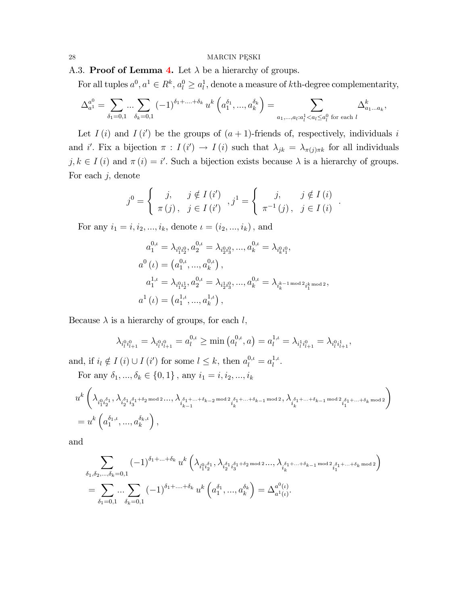A.3. Proof of Lemma [4.](#page-20-0) Let  $\lambda$  be a hierarchy of groups.

For all tuples  $a^0, a^1 \in R^k, a_0^0 \ge a_l^1$ , denote a measure of kth-degree complementarity,

$$
\Delta_{a^1}^{a^0} = \sum_{\delta_1=0,1} \dots \sum_{\delta_k=0,1} (-1)^{\delta_1+\dots+\delta_k} u^k \left( a_1^{\delta_1}, \dots, a_k^{\delta_k} \right) = \sum_{a_1,\dots,a_l: a_l^1 < a_l \le a_l^0 \text{ for each } l} \Delta_{a_1\dots a_k}^k,
$$

Let  $I(i)$  and  $I(i')$  be the groups of  $(a+1)$ -friends of, respectively, individuals i and i'. Fix a bijection  $\pi : I(i') \to I(i)$  such that  $\lambda_{jk} = \lambda_{\pi(j)\pi k}$  for all individuals  $j, k \in I$  (i) and  $\pi(i) = i'$ . Such a bijection exists because  $\lambda$  is a hierarchy of groups. For each  $j$ , denote

$$
j^{0} = \begin{cases} j, & j \notin I(i') \\ \pi(j), & j \in I(i') \end{cases}, j^{1} = \begin{cases} j, & j \notin I(i) \\ \pi^{-1}(j), & j \in I(i) \end{cases}
$$

:

For any  $i_1 = i, i_2, ..., i_k$ , denote  $\iota = (i_2, ..., i_k)$ , and

$$
a_1^{0,\iota} = \lambda_{i_1^{0}i_2^{0}}, a_2^{0,\iota} = \lambda_{i_2^{0}i_3^{0}}, ..., a_k^{0,\iota} = \lambda_{i_k^{0}i_1^{0}},
$$
  
\n
$$
a^0(\iota) = (a_1^{0,\iota}, ..., a_k^{0,\iota}),
$$
  
\n
$$
a_1^{1,\iota} = \lambda_{i_1^{0}i_2^{1}}, a_2^{0,\iota} = \lambda_{i_2^{1}i_3^{0}}, ..., a_k^{0,\iota} = \lambda_{i_k^{k-1}\text{mod }2}a_1^{k_{k}\text{mod }2},
$$
  
\n
$$
a^1(\iota) = (a_1^{1,\iota}, ..., a_k^{1,\iota}),
$$

Because  $\lambda$  is a hierarchy of groups, for each l,

$$
\lambda_{i_l^0 i_{l+1}^0} = \lambda_{i_l^0 i_{l+1}^0} = a_l^{0,\iota} \ge \min\left(a_l^{0,\iota}, a\right) = a_l^{1,\iota} = \lambda_{i_l^1 i_{l+1}^0} = \lambda_{i_l^0 i_{l+1}^1},
$$

and, if  $i_l \notin I(i) \cup I(i')$  for some  $l \leq k$ , then  $a_l^{0,\iota} = a_l^{1,\iota}$  $\frac{1}{l}$ .

For any  $\delta_1,...,\delta_k\in\{0,1\}$  , any  $i_1=i,i_2,...,i_k$ 

$$
\begin{split} &u^k\left(\lambda_{\substack{i^0_1i^{\delta_1}_2,\lambda_{i^{\delta_1}_2i^{\delta_1+\delta_2\,\mathrm{mod}\,2}\cdots,\,\lambda_{i^{\delta_1+\cdots+\delta_{k-2}\,\mathrm{mod}\,2}}i^{\delta_1+\cdots+\delta_{k-1}\,\mathrm{mod}\,2},\lambda_{\substack{i^{\delta_1+\cdots+\delta_{k-1}\,\mathrm{mod}\,2}}i^{\delta_1+\cdots+\delta_k\,\mathrm{mod}\,2}}_i\right)\\ &=u^k\left(a^{\delta_1,\iota}_1,...,a^{\delta_k,\iota}_k\right), \end{split}
$$

and

 $\overline{ }$ 

$$
\begin{split} & \sum_{\delta_1,\delta_2,\ldots,\delta_k=0,1} (-1)^{\delta_1+\ldots+\delta_k}\,u^k\left(\lambda_{i_1^0i_2^{\delta_1}},\lambda_{i_2^{\delta_1}i_3^{\delta_1+\delta_2\,\text{mod}\,2}}\ldots,\lambda_{i_k^{\delta_1+\ldots+\delta_{k-1}\,\text{mod}\,2}}i_1^{\delta_1+\ldots+\delta_k\,\text{mod}\,2}\right)\\ & = \sum_{\delta_1=0,1}\ldots\sum_{\delta_k=0,1} (-1)^{\delta_1+\ldots+\delta_k}\,u^k\left(a_1^{\delta_1},\ldots,a_k^{\delta_k}\right)=\Delta_{a^1(\iota)}^{a^0(\iota)}. \end{split}
$$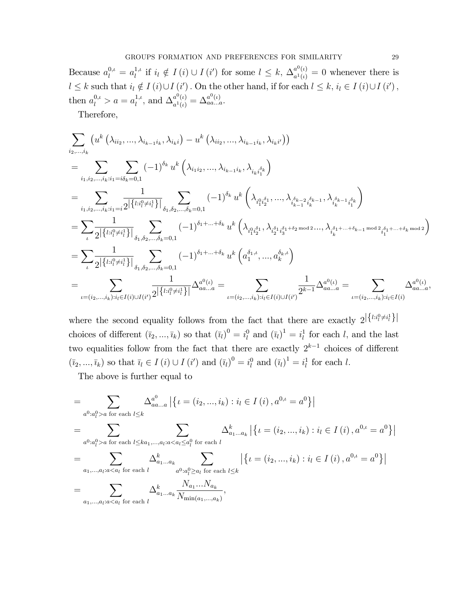Because  $a_l^{0,\iota} = a_l^{1,\iota}$  if  $i_l \notin I(i) \cup I(i')$  for some  $l \leq k$ ,  $\Delta_{a^1(\iota)}^{a^0(\iota)} = 0$  whenever there is  $l \leq k$  such that  $i_l \notin I(i) \cup I(i')$ . On the other hand, if for each  $l \leq k$ ,  $i_l \in I(i) \cup I(i')$ , then  $a_l^{0,\iota} > a = a_l^{1,\iota}$ , and  $\Delta_{a^1(\iota)}^{a^0(\iota)} = \Delta_{aa...a}^{a^0(\iota)}$ .

Therefore.

$$
\sum_{i_{2},...,i_{k}} \left( u^{k} \left( \lambda_{i_{i_{2}}},...,\lambda_{i_{k-1}i_{k}},\lambda_{i_{k}i} \right) - u^{k} \left( \lambda_{i_{i_{2}}},...,\lambda_{i_{k-1}i_{k}},\lambda_{i_{k}i'} \right) \right)
$$
\n
$$
= \sum_{i_{1},i_{2},...,i_{k}:i_{1} = i\delta_{k} = 0,1} \sum_{i_{1},i_{2},...,i_{k}:i_{1} = i\delta_{k} = 0,1} (-1)^{\delta_{k}} u^{k} \left( \lambda_{i_{1}i_{2}},...,\lambda_{i_{k-1}i_{k}},\lambda_{i_{k}i_{k}} \right)
$$
\n
$$
= \sum_{i_{1},i_{2},...,i_{k}:i_{1} = i} \frac{1}{2 \left| \left\{ l:_{i_{1}^{0}\neq i_{1}^{1} \right\}} \right|} \sum_{\delta_{1},\delta_{2},..., \delta_{k} = 0,1} (-1)^{\delta_{k}} u^{k} \left( \lambda_{i_{1}^{0}\neq i_{1}^{0}},...,\lambda_{i_{k-1}^{0}\neq i_{k}^{0}} \right) \cdot \sum_{i_{k}^{0}\neq i_{1}^{1}\neq i_{1}^{0}} (-1)^{\delta_{i_{1}+...+\delta_{k}}} u^{k} \left( \lambda_{i_{1}^{0}\neq i_{1}^{0}},\lambda_{i_{1}^{0}\neq i_{1}^{0}} \right) \cdot \sum_{i_{k}^{0}\neq i_{1}+...+\delta_{k} \mod 2} (-1)^{\delta_{i_{1}+...+\delta_{k}}} u^{k} \left( \lambda_{i_{1}^{0}\neq i_{1}^{0}},\lambda_{i_{2}^{0}\neq i_{3}^{0}} \right) \cdot \sum_{i_{k}^{0}\neq i_{1}+...+\delta_{k} \mod 2} (-1)^{\delta_{i_{1}+...+\delta_{k}}} u^{k} \left( \alpha_{1}^{\delta_{1},\delta},...,\alpha_{k}^{\delta_{k},\delta} \right)
$$
\n
$$
= \sum_{\iota=(i_{2},...,i_{k}):i_{l} \in I(i) \cup I(i')} \frac{1}{2 \left| \left\{ l:_{i_{1}^{0}\neq i_{1}^{1} \right\}} \right|} \Delta_{a_{a...a}}^{a_{
$$

where the second equality follows from the fact that there are exactly  $2^{\left|\left\{l: i_l^0 \neq i_l^1\right\}\right|}$ choices of different  $(\bar{i}_2,...,\bar{i}_k)$  so that  $(\bar{i}_l)^0 = i_l^0$  and  $(\bar{i}_l)^1 = i_l^1$  for each l, and the last two equalities follow from the fact that there are exactly  $2^{k-1}$  choices of different  $(\overline{i}_2,...,\overline{i}_k)$  so that  $\overline{i}_l \in I(i) \cup I(i')$  and  $(\overline{i}_l)^0 = i_l^0$  and  $(\overline{i}_l)^1 = i_l^1$  for each l.

The above is further equal to

$$
= \sum_{a^0: a_l^0 > a \text{ for each } l \leq k} \Delta_{aa...a}^{a^0} | \{l = (i_2, ..., i_k) : i_l \in I(i), a^{0,\iota} = a^0 \} |
$$
  
\n
$$
= \sum_{a^0: a_l^0 > a \text{ for each } l \leq ka_1, ..., a_l : a < a_l \leq a_l^0 \text{ for each } l} \Delta_{a_1...a_k}^k | \{l = (i_2, ..., i_k) : i_l \in I(i), a^{0,\iota} = a^0 \} |
$$
  
\n
$$
= \sum_{a_1, ..., a_l : a < a_l \text{ for each } l} \Delta_{a_1...a_k}^k \sum_{a^0: a_l^0 \geq a_l \text{ for each } l \leq k} | \{l = (i_2, ..., i_k) : i_l \in I(i), a^{0,\iota} = a^0 \} |
$$
  
\n
$$
= \sum_{a_1, ..., a_l : a < a_l \text{ for each } l} \Delta_{a_1...a_k}^k \frac{N_{a_1}...N_{a_k}}{N_{\min(a_1, ..., a_k)}},
$$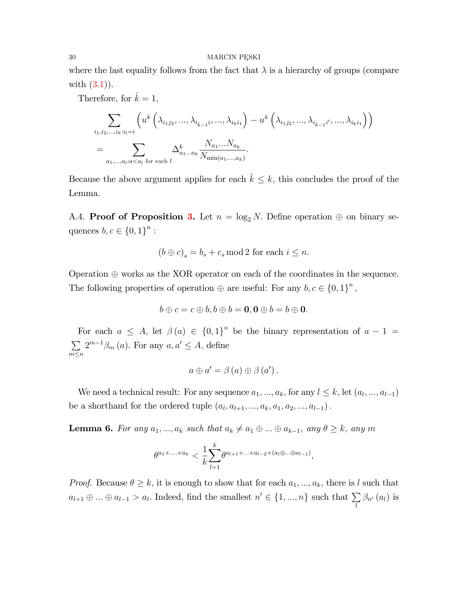where the last equality follows from the fact that  $\lambda$  is a hierarchy of groups (compare with  $(3.1)$ .

Therefore, for  $\hat{k} = 1$ ,

$$
\sum_{i_1, i_2, \dots, i_k : i_l = i} \left( u^k \left( \lambda_{i_1 j_2}, \dots, \lambda_{i_{\hat{k}-1} i}, \dots, \lambda_{i_k i_1} \right) - u^k \left( \lambda_{i_1 j_2}, \dots, \lambda_{i_{\hat{k}-1} i'}, \dots, \lambda_{i_k i_1} \right) \right)
$$
  
= 
$$
\sum_{a_1, \dots, a_l : a < a_l \text{ for each } l} \Delta_{a_1 \dots a_k}^k \frac{N_{a_1} \dots N_{a_k}}{N_{\min(a_1, \dots, a_k)}}.
$$

Because the above argument applies for each  $\hat{k} \leq k$ , this concludes the proof of the Lemma.

A.4. **Proof of Proposition [3.](#page-16-1)** Let  $n = \log_2 N$ . Define operation  $\oplus$  on binary sequences  $b, c \in \{0, 1\}^n$ :

$$
(b \oplus c)_s = b_s + c_s \mod 2 \text{ for each } i \leq n.
$$

Operation  $\oplus$  works as the XOR operator on each of the coordinates in the sequence. The following properties of operation  $\oplus$  are useful: For any  $b, c \in \{0, 1\}^n$ ,

$$
b\oplus c=c\oplus b, b\oplus b=\mathbf{0}, \mathbf{0}\oplus b=b\oplus \mathbf{0}.
$$

For each  $a \leq A$ , let  $\beta(a) \in \{0,1\}^n$  be the binary representation of  $a-1 =$  $\sum$  $m \leq n$  $2^{m-1}\beta_m(a)$ . For any  $a, a' \leq A$ , define

$$
a \oplus a' = \beta (a) \oplus \beta (a') .
$$

We need a technical result: For any sequence  $a_1, ..., a_k$ , for any  $l \leq k$ , let  $(a_l, ..., a_{l-1})$ be a shorthand for the ordered tuple  $(a_l, a_{l+1}, ..., a_k, a_1, a_2, ..., a_{l-1})$ .

<span id="page-29-0"></span>**Lemma 6.** For any  $a_1, ..., a_k$  such that  $a_k \neq a_1 \oplus ... \oplus a_{k-1}$ , any  $\theta \geq k$ , any m

$$
\theta^{a_1+\dots+a_k} < \frac{1}{k} \sum_{l=1}^k \theta^{a_{l+1}+\dots+a_{l-2}+(a_l\oplus \dots \oplus a_{l-1})},
$$

*Proof.* Because  $\theta \geq k$ , it is enough to show that for each  $a_1, ..., a_k$ , there is l such that  $a_{l+1} \oplus ... \oplus a_{l-1} > a_l$ . Indeed, find the smallest  $n' \in \{1, ..., n\}$  such that  $\sum_l$  $\beta_{n'}\left(a_{l}\right)$  is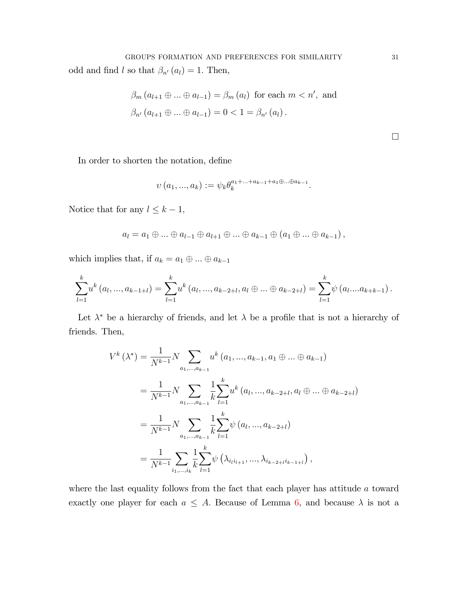$$
\beta_m (a_{l+1} \oplus \ldots \oplus a_{l-1}) = \beta_m (a_l) \text{ for each } m < n', \text{ and}
$$
\n
$$
\beta_{n'} (a_{l+1} \oplus \ldots \oplus a_{l-1}) = 0 < 1 = \beta_{n'} (a_l).
$$

 $\Box$ 

In order to shorten the notation, define

$$
\upsilon(a_1, ..., a_k) := \psi_k \theta_k^{a_1 + ... + a_{k-1} + a_1 \oplus ... \oplus a_{k-1}}.
$$

Notice that for any  $l \leq k-1$ ,

$$
a_l = a_1 \oplus \ldots \oplus a_{l-1} \oplus a_{l+1} \oplus \ldots \oplus a_{k-1} \oplus (a_1 \oplus \ldots \oplus a_{k-1}),
$$

which implies that, if  $a_k=a_1\oplus\ldots\oplus a_{k-1}$ 

$$
\sum_{l=1}^{k} u^{k} (a_{l},...,a_{k-1+l}) = \sum_{l=1}^{k} u^{k} (a_{l},...,a_{k-2+l},a_{l} \oplus ... \oplus a_{k-2+l}) = \sum_{l=1}^{k} \psi (a_{l}....a_{k+k-1}).
$$

Let  $\lambda^*$  be a hierarchy of friends, and let  $\lambda$  be a profile that is not a hierarchy of friends. Then,

$$
V^{k}(\lambda^{*}) = \frac{1}{N^{k-1}} N \sum_{a_{1},...,a_{k-1}} u^{k} (a_{1},...,a_{k-1},a_{1} \oplus ... \oplus a_{k-1})
$$
  
= 
$$
\frac{1}{N^{k-1}} N \sum_{a_{1},...,a_{k-1}} \frac{1}{k} \sum_{l=1}^{k} u^{k} (a_{l},...,a_{k-2+l},a_{l} \oplus ... \oplus a_{k-2+l})
$$
  
= 
$$
\frac{1}{N^{k-1}} N \sum_{a_{1},...,a_{k-1}} \frac{1}{k} \sum_{l=1}^{k} \psi (a_{l},...,a_{k-2+l})
$$
  
= 
$$
\frac{1}{N^{k-1}} \sum_{i_{1},...,i_{k}} \frac{1}{k} \sum_{l=1}^{k} \psi (\lambda_{i_{l}i_{l+1}},...,\lambda_{i_{k-2+l}i_{k-1+l}}),
$$

where the last equality follows from the fact that each player has attitude  $a$  toward exactly one player for each  $a \leq A$ . Because of Lemma 6, and because  $\lambda$  is not a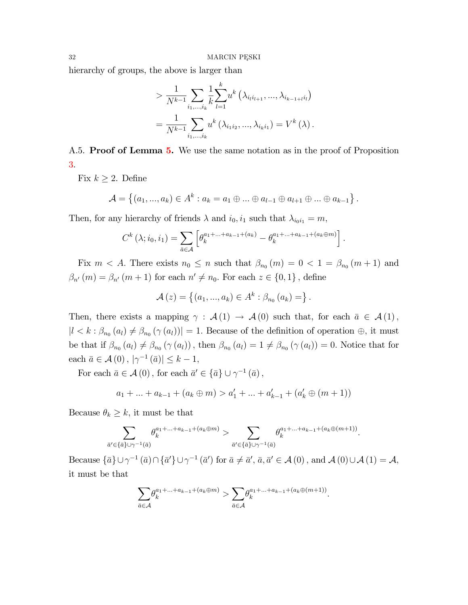hierarchy of groups, the above is larger than

$$
> \frac{1}{N^{k-1}} \sum_{i_1,\dots,i_k} \frac{1}{k} \sum_{l=1}^k u^k \left( \lambda_{i_l i_{l+1}}, \dots, \lambda_{i_{k-1+l} i_l} \right)
$$
  
= 
$$
\frac{1}{N^{k-1}} \sum_{i_1,\dots,i_k} u^k \left( \lambda_{i_1 i_2}, \dots, \lambda_{i_k i_1} \right) = V^k \left( \lambda \right).
$$

A.[5.](#page-21-0) **Proof of Lemma 5.** We use the same notation as in the proof of Proposition [3.](#page-16-1)

Fix  $k \geq 2$ . Define

$$
\mathcal{A} = \{(a_1, ..., a_k) \in A^k : a_k = a_1 \oplus ... \oplus a_{l-1} \oplus a_{l+1} \oplus ... \oplus a_{k-1}\}.
$$

Then, for any hierarchy of friends  $\lambda$  and  $i_0, i_1$  such that  $\lambda_{i_0i_1} = m$ ,

$$
C^{k}(\lambda; i_{0}, i_{1}) = \sum_{\bar{a} \in \mathcal{A}} \left[ \theta_{k}^{a_{1} + ... + a_{k-1} + (a_{k})} - \theta_{k}^{a_{1} + ... + a_{k-1} + (a_{k} \oplus m)} \right].
$$

Fix  $m < A$ . There exists  $n_0 \leq n$  such that  $\beta_{n_0}(m) = 0 < 1 = \beta_{n_0}(m+1)$  and  $\beta_{n'}(m) = \beta_{n'}(m+1)$  for each  $n' \neq n_0$ . For each  $z \in \{0,1\}$ , define

$$
\mathcal{A}(z) = \{(a_1, ..., a_k) \in A^k : \beta_{n_0}(a_k) = \}.
$$

Then, there exists a mapping  $\gamma : \mathcal{A}(1) \to \mathcal{A}(0)$  such that, for each  $\bar{a} \in \mathcal{A}(1)$ ,  $|l \lt k : \beta_{n_0}(a_l) \neq \beta_{n_0}(\gamma(a_l))| = 1.$  Because of the definition of operation  $\oplus$ , it must be that if  $\beta_{n_0}(a_l) \neq \beta_{n_0}(\gamma(a_l))$ , then  $\beta_{n_0}(a_l) = 1 \neq \beta_{n_0}(\gamma(a_l)) = 0$ . Notice that for each  $\bar{a} \in \mathcal{A}(0), |\gamma^{-1}(\bar{a})| \leq k - 1$ ,

For each  $\bar{a} \in \mathcal{A}(0)$ , for each  $\bar{a}' \in {\bar{a}} \cup \gamma^{-1}(\bar{a})$ ,

$$
a_1 + ... + a_{k-1} + (a_k \oplus m) > a'_1 + ... + a'_{k-1} + (a'_k \oplus (m+1))
$$

Because  $\theta_k \geq k$ , it must be that

$$
\sum_{\bar{a}'\in\{\bar{a}\}\cup\gamma^{-1}(\bar{a})}\theta_k^{a_1+\ldots+a_{k-1}+(a_k\oplus m)}>\sum_{\bar{a}'\in\{\bar{a}\}\cup\gamma^{-1}(\bar{a})}\theta_k^{a_1+\ldots+a_{k-1}+(a_k\oplus(m+1))}.
$$

Because  $\{\bar{a}\}\cup \gamma^{-1}(\bar{a})\cap \{\bar{a}'\}\cup \gamma^{-1}(\bar{a}')$  for  $\bar{a}\neq \bar{a}', \bar{a}, \bar{a}'\in \mathcal{A}(0)$ , and  $\mathcal{A}(0)\cup \mathcal{A}(1)=\mathcal{A}$ , it must be that

$$
\sum_{\bar{a}\in\mathcal{A}}\theta_k^{a_1+\ldots+a_{k-1}+(a_k\oplus m)} > \sum_{\bar{a}\in\mathcal{A}}\theta_k^{a_1+\ldots+a_{k-1}+(a_k\oplus (m+1))}.
$$